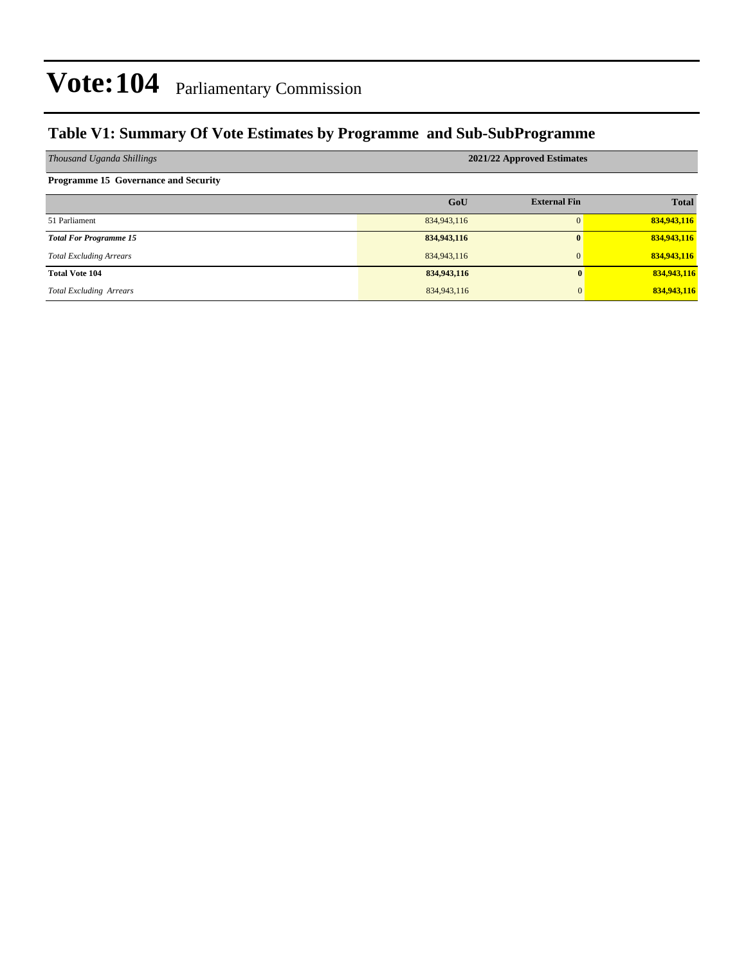### **Table V1: Summary Of Vote Estimates by Programme and Sub-SubProgramme**

| Thousand Uganda Shillings                   | 2021/22 Approved Estimates |                     |              |  |  |  |  |  |  |
|---------------------------------------------|----------------------------|---------------------|--------------|--|--|--|--|--|--|
| <b>Programme 15 Governance and Security</b> |                            |                     |              |  |  |  |  |  |  |
|                                             | GoU                        | <b>External Fin</b> | <b>Total</b> |  |  |  |  |  |  |
| 51 Parliament                               | 834,943,116                | $\Omega$            | 834,943,116  |  |  |  |  |  |  |
| <b>Total For Programme 15</b>               | 834,943,116                | $\mathbf{0}$        | 834,943,116  |  |  |  |  |  |  |
| <b>Total Excluding Arrears</b>              | 834,943,116                | $\overline{0}$      | 834,943,116  |  |  |  |  |  |  |
| <b>Total Vote 104</b>                       | 834,943,116                | $\mathbf{0}$        | 834,943,116  |  |  |  |  |  |  |
| <b>Total Excluding Arrears</b>              | 834,943,116                | $\mathbf{0}$        | 834,943,116  |  |  |  |  |  |  |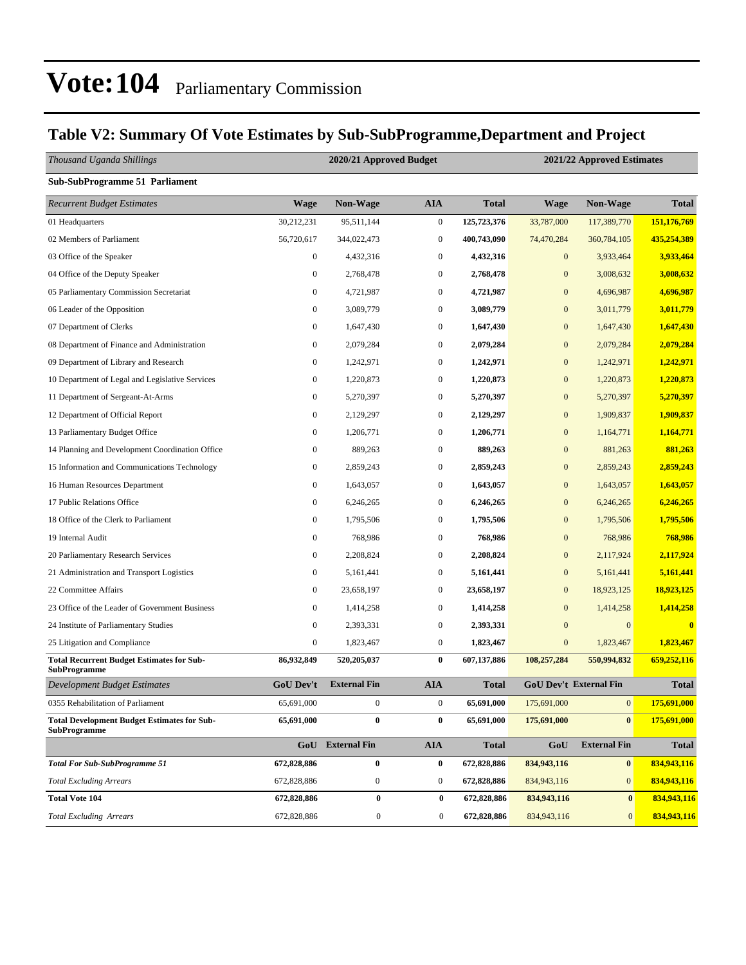### **Table V2: Summary Of Vote Estimates by Sub-SubProgramme,Department and Project**

| Thousand Uganda Shillings                                               |                  | 2020/21 Approved Budget |                  |              | 2021/22 Approved Estimates |                               |              |  |
|-------------------------------------------------------------------------|------------------|-------------------------|------------------|--------------|----------------------------|-------------------------------|--------------|--|
| <b>Sub-SubProgramme 51 Parliament</b>                                   |                  |                         |                  |              |                            |                               |              |  |
| <b>Recurrent Budget Estimates</b>                                       | <b>Wage</b>      | Non-Wage                | <b>AIA</b>       | <b>Total</b> | <b>Wage</b>                | Non-Wage                      | <b>Total</b> |  |
| 01 Headquarters                                                         | 30,212,231       | 95,511,144              | $\boldsymbol{0}$ | 125,723,376  | 33,787,000                 | 117,389,770                   | 151,176,769  |  |
| 02 Members of Parliament                                                | 56,720,617       | 344,022,473             | $\boldsymbol{0}$ | 400,743,090  | 74,470,284                 | 360,784,105                   | 435,254,389  |  |
| 03 Office of the Speaker                                                | $\boldsymbol{0}$ | 4,432,316               | $\boldsymbol{0}$ | 4,432,316    | $\boldsymbol{0}$           | 3,933,464                     | 3,933,464    |  |
| 04 Office of the Deputy Speaker                                         | $\boldsymbol{0}$ | 2,768,478               | $\boldsymbol{0}$ | 2,768,478    | $\mathbf{0}$               | 3,008,632                     | 3,008,632    |  |
| 05 Parliamentary Commission Secretariat                                 | $\boldsymbol{0}$ | 4,721,987               | $\boldsymbol{0}$ | 4,721,987    | $\mathbf{0}$               | 4,696,987                     | 4,696,987    |  |
| 06 Leader of the Opposition                                             | $\boldsymbol{0}$ | 3,089,779               | $\boldsymbol{0}$ | 3,089,779    | $\mathbf{0}$               | 3,011,779                     | 3,011,779    |  |
| 07 Department of Clerks                                                 | 0                | 1,647,430               | $\boldsymbol{0}$ | 1,647,430    | $\mathbf{0}$               | 1,647,430                     | 1,647,430    |  |
| 08 Department of Finance and Administration                             | $\boldsymbol{0}$ | 2,079,284               | $\boldsymbol{0}$ | 2,079,284    | $\mathbf{0}$               | 2,079,284                     | 2,079,284    |  |
| 09 Department of Library and Research                                   | $\boldsymbol{0}$ | 1,242,971               | $\boldsymbol{0}$ | 1,242,971    | $\mathbf{0}$               | 1,242,971                     | 1,242,971    |  |
| 10 Department of Legal and Legislative Services                         | $\boldsymbol{0}$ | 1,220,873               | $\boldsymbol{0}$ | 1,220,873    | $\mathbf{0}$               | 1,220,873                     | 1,220,873    |  |
| 11 Department of Sergeant-At-Arms                                       | $\boldsymbol{0}$ | 5,270,397               | $\boldsymbol{0}$ | 5,270,397    | $\mathbf{0}$               | 5,270,397                     | 5,270,397    |  |
| 12 Department of Official Report                                        | 0                | 2,129,297               | $\boldsymbol{0}$ | 2,129,297    | $\mathbf{0}$               | 1,909,837                     | 1,909,837    |  |
| 13 Parliamentary Budget Office                                          | $\boldsymbol{0}$ | 1,206,771               | $\boldsymbol{0}$ | 1,206,771    | $\mathbf{0}$               | 1,164,771                     | 1,164,771    |  |
| 14 Planning and Development Coordination Office                         | $\boldsymbol{0}$ | 889,263                 | $\boldsymbol{0}$ | 889,263      | $\mathbf{0}$               | 881,263                       | 881,263      |  |
| 15 Information and Communications Technology                            | $\boldsymbol{0}$ | 2,859,243               | $\boldsymbol{0}$ | 2,859,243    | $\mathbf{0}$               | 2,859,243                     | 2,859,243    |  |
| 16 Human Resources Department                                           | $\boldsymbol{0}$ | 1,643,057               | $\boldsymbol{0}$ | 1,643,057    | $\mathbf{0}$               | 1,643,057                     | 1,643,057    |  |
| 17 Public Relations Office                                              | $\boldsymbol{0}$ | 6,246,265               | $\boldsymbol{0}$ | 6,246,265    | $\mathbf{0}$               | 6,246,265                     | 6,246,265    |  |
| 18 Office of the Clerk to Parliament                                    | $\boldsymbol{0}$ | 1,795,506               | $\boldsymbol{0}$ | 1,795,506    | $\boldsymbol{0}$           | 1,795,506                     | 1,795,506    |  |
| 19 Internal Audit                                                       | $\boldsymbol{0}$ | 768,986                 | $\boldsymbol{0}$ | 768,986      | $\mathbf{0}$               | 768,986                       | 768,986      |  |
| 20 Parliamentary Research Services                                      | 0                | 2,208,824               | $\boldsymbol{0}$ | 2,208,824    | $\mathbf{0}$               | 2,117,924                     | 2,117,924    |  |
| 21 Administration and Transport Logistics                               | $\boldsymbol{0}$ | 5,161,441               | $\boldsymbol{0}$ | 5,161,441    | $\mathbf{0}$               | 5,161,441                     | 5,161,441    |  |
| 22 Committee Affairs                                                    | $\boldsymbol{0}$ | 23,658,197              | $\boldsymbol{0}$ | 23,658,197   | $\boldsymbol{0}$           | 18,923,125                    | 18,923,125   |  |
| 23 Office of the Leader of Government Business                          | $\boldsymbol{0}$ | 1,414,258               | $\boldsymbol{0}$ | 1,414,258    | $\mathbf{0}$               | 1,414,258                     | 1,414,258    |  |
| 24 Institute of Parliamentary Studies                                   | $\boldsymbol{0}$ | 2,393,331               | $\boldsymbol{0}$ | 2,393,331    | $\mathbf{0}$               | $\overline{0}$                | $\bf{0}$     |  |
| 25 Litigation and Compliance                                            | $\boldsymbol{0}$ | 1,823,467               | $\boldsymbol{0}$ | 1,823,467    | $\boldsymbol{0}$           | 1,823,467                     | 1,823,467    |  |
| <b>Total Recurrent Budget Estimates for Sub-</b><br><b>SubProgramme</b> | 86,932,849       | 520,205,037             | $\bf{0}$         | 607,137,886  | 108,257,284                | 550,994,832                   | 659,252,116  |  |
| <b>Development Budget Estimates</b>                                     | <b>GoU Dev't</b> | <b>External Fin</b>     | <b>AIA</b>       | <b>Total</b> |                            | <b>GoU Dev't External Fin</b> | <b>Total</b> |  |
| 0355 Rehabilitation of Parliament                                       | 65,691,000       | $\boldsymbol{0}$        | $\boldsymbol{0}$ | 65,691,000   | 175,691,000                | $\mathbf{0}$                  | 175,691,000  |  |
| <b>Total Development Budget Estimates for Sub-</b><br>SubProgramme      | 65,691,000       | $\pmb{0}$               | $\bf{0}$         | 65,691,000   | 175,691,000                | $\bf{0}$                      | 175,691,000  |  |
|                                                                         | GoU              | <b>External Fin</b>     | <b>AIA</b>       | <b>Total</b> | GoU                        | <b>External Fin</b>           | <b>Total</b> |  |
| <b>Total For Sub-SubProgramme 51</b>                                    | 672,828,886      | $\bf{0}$                | $\bf{0}$         | 672,828,886  | 834,943,116                | $\bf{0}$                      | 834,943,116  |  |
| <b>Total Excluding Arrears</b>                                          | 672,828,886      | $\boldsymbol{0}$        | $\boldsymbol{0}$ | 672,828,886  | 834,943,116                | $\mathbf{0}$                  | 834,943,116  |  |
| <b>Total Vote 104</b>                                                   | 672,828,886      | $\bf{0}$                | 0                | 672,828,886  | 834,943,116                | $\bf{0}$                      | 834,943,116  |  |
| <b>Total Excluding Arrears</b>                                          | 672,828,886      | $\boldsymbol{0}$        | $\boldsymbol{0}$ | 672,828,886  | 834,943,116                | $\mathbf{0}$                  | 834,943,116  |  |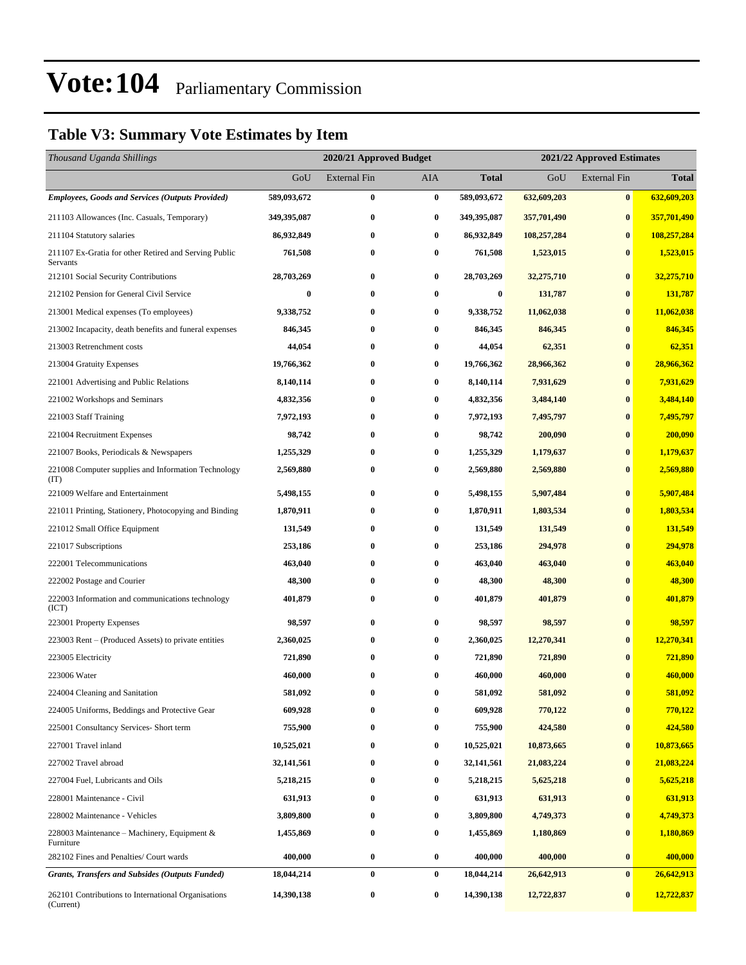### **Table V3: Summary Vote Estimates by Item**

| Thousand Uganda Shillings                                         |                  | 2020/21 Approved Budget |          | 2021/22 Approved Estimates |             |                     |              |
|-------------------------------------------------------------------|------------------|-------------------------|----------|----------------------------|-------------|---------------------|--------------|
|                                                                   | GoU              | External Fin            | AIA      | <b>Total</b>               | GoU         | <b>External Fin</b> | <b>Total</b> |
| <b>Employees, Goods and Services (Outputs Provided)</b>           | 589,093,672      | $\bf{0}$                | $\bf{0}$ | 589,093,672                | 632,609,203 | $\bf{0}$            | 632,609,203  |
| 211103 Allowances (Inc. Casuals, Temporary)                       | 349,395,087      | $\bf{0}$                | $\bf{0}$ | 349,395,087                | 357,701,490 | $\bf{0}$            | 357,701,490  |
| 211104 Statutory salaries                                         | 86,932,849       | $\bf{0}$                | $\bf{0}$ | 86,932,849                 | 108,257,284 | $\bf{0}$            | 108,257,284  |
| 211107 Ex-Gratia for other Retired and Serving Public<br>Servants | 761,508          | 0                       | $\bf{0}$ | 761,508                    | 1,523,015   | $\bf{0}$            | 1,523,015    |
| 212101 Social Security Contributions                              | 28,703,269       | $\bf{0}$                | $\bf{0}$ | 28,703,269                 | 32,275,710  | $\bf{0}$            | 32,275,710   |
| 212102 Pension for General Civil Service                          | $\boldsymbol{0}$ | $\bf{0}$                | $\bf{0}$ | $\boldsymbol{0}$           | 131,787     | $\bf{0}$            | 131,787      |
| 213001 Medical expenses (To employees)                            | 9,338,752        | 0                       | $\bf{0}$ | 9,338,752                  | 11,062,038  | $\bf{0}$            | 11,062,038   |
| 213002 Incapacity, death benefits and funeral expenses            | 846,345          | $\bf{0}$                | $\bf{0}$ | 846,345                    | 846,345     | $\bf{0}$            | 846,345      |
| 213003 Retrenchment costs                                         | 44,054           | $\bf{0}$                | $\bf{0}$ | 44,054                     | 62,351      | $\bf{0}$            | 62,351       |
| 213004 Gratuity Expenses                                          | 19,766,362       | 0                       | $\bf{0}$ | 19,766,362                 | 28,966,362  | $\bf{0}$            | 28,966,362   |
| 221001 Advertising and Public Relations                           | 8,140,114        | $\bf{0}$                | $\bf{0}$ | 8,140,114                  | 7,931,629   | $\bf{0}$            | 7,931,629    |
| 221002 Workshops and Seminars                                     | 4,832,356        | 0                       | $\bf{0}$ | 4,832,356                  | 3,484,140   | $\bf{0}$            | 3,484,140    |
| 221003 Staff Training                                             | 7,972,193        | $\bf{0}$                | $\bf{0}$ | 7,972,193                  | 7,495,797   | $\bf{0}$            | 7,495,797    |
| 221004 Recruitment Expenses                                       | 98,742           | $\bf{0}$                | $\bf{0}$ | 98,742                     | 200,090     | $\bf{0}$            | 200,090      |
| 221007 Books, Periodicals & Newspapers                            | 1,255,329        | 0                       | $\bf{0}$ | 1,255,329                  | 1,179,637   | $\bf{0}$            | 1,179,637    |
| 221008 Computer supplies and Information Technology<br>(TT)       | 2,569,880        | $\bf{0}$                | $\bf{0}$ | 2,569,880                  | 2,569,880   | $\bf{0}$            | 2,569,880    |
| 221009 Welfare and Entertainment                                  | 5,498,155        | $\bf{0}$                | $\bf{0}$ | 5,498,155                  | 5,907,484   | $\bf{0}$            | 5,907,484    |
| 221011 Printing, Stationery, Photocopying and Binding             | 1,870,911        | 0                       | $\bf{0}$ | 1,870,911                  | 1,803,534   | $\bf{0}$            | 1,803,534    |
| 221012 Small Office Equipment                                     | 131,549          | 0                       | $\bf{0}$ | 131,549                    | 131,549     | $\bf{0}$            | 131,549      |
| 221017 Subscriptions                                              | 253,186          | $\bf{0}$                | $\bf{0}$ | 253,186                    | 294,978     | $\bf{0}$            | 294,978      |
| 222001 Telecommunications                                         | 463,040          | $\bf{0}$                | $\bf{0}$ | 463,040                    | 463,040     | $\bf{0}$            | 463,040      |
| 222002 Postage and Courier                                        | 48,300           | $\bf{0}$                | $\bf{0}$ | 48,300                     | 48,300      | $\bf{0}$            | 48,300       |
| 222003 Information and communications technology<br>(ICT)         | 401,879          | $\bf{0}$                | $\bf{0}$ | 401,879                    | 401,879     | $\bf{0}$            | 401,879      |
| 223001 Property Expenses                                          | 98,597           | $\bf{0}$                | $\bf{0}$ | 98,597                     | 98,597      | $\bf{0}$            | 98,597       |
| 223003 Rent – (Produced Assets) to private entities               | 2,360,025        | $\bf{0}$                | $\bf{0}$ | 2,360,025                  | 12,270,341  | $\bf{0}$            | 12,270,341   |
| 223005 Electricity                                                | 721,890          | $\bf{0}$                | $\bf{0}$ | 721,890                    | 721,890     | $\bf{0}$            | 721,890      |
| 223006 Water                                                      | 460,000          | $\bf{0}$                | $\bf{0}$ | 460,000                    | 460,000     | $\mathbf{0}$        | 460,000      |
| 224004 Cleaning and Sanitation                                    | 581,092          | 0                       | 0        | 581,092                    | 581,092     | 0                   | 581,092      |
| 224005 Uniforms, Beddings and Protective Gear                     | 609,928          | $\bf{0}$                | $\bf{0}$ | 609,928                    | 770,122     | $\bf{0}$            | 770,122      |
| 225001 Consultancy Services- Short term                           | 755,900          | 0                       | $\bf{0}$ | 755,900                    | 424,580     | $\bf{0}$            | 424,580      |
| 227001 Travel inland                                              | 10,525,021       | 0                       | $\bf{0}$ | 10,525,021                 | 10,873,665  | $\bf{0}$            | 10,873,665   |
| 227002 Travel abroad                                              | 32,141,561       | 0                       | $\bf{0}$ | 32,141,561                 | 21,083,224  | $\bf{0}$            | 21,083,224   |
| 227004 Fuel, Lubricants and Oils                                  | 5,218,215        | 0                       | $\bf{0}$ | 5,218,215                  | 5,625,218   | $\bf{0}$            | 5,625,218    |
| 228001 Maintenance - Civil                                        | 631,913          | 0                       | $\bf{0}$ | 631,913                    | 631,913     | $\bf{0}$            | 631,913      |
| 228002 Maintenance - Vehicles                                     | 3,809,800        | $\bf{0}$                | $\bf{0}$ | 3,809,800                  | 4,749,373   | $\bf{0}$            | 4,749,373    |
| 228003 Maintenance – Machinery, Equipment &<br>Furniture          | 1,455,869        | $\bf{0}$                | $\bf{0}$ | 1,455,869                  | 1,180,869   | $\bf{0}$            | 1,180,869    |
| 282102 Fines and Penalties/ Court wards                           | 400,000          | $\bf{0}$                | $\bf{0}$ | 400,000                    | 400,000     | $\bf{0}$            | 400,000      |
| <b>Grants, Transfers and Subsides (Outputs Funded)</b>            | 18,044,214       | $\bf{0}$                | $\bf{0}$ | 18,044,214                 | 26,642,913  | $\bf{0}$            | 26,642,913   |
| 262101 Contributions to International Organisations<br>(Current)  | 14,390,138       | $\boldsymbol{0}$        | $\bf{0}$ | 14,390,138                 | 12,722,837  | $\bf{0}$            | 12,722,837   |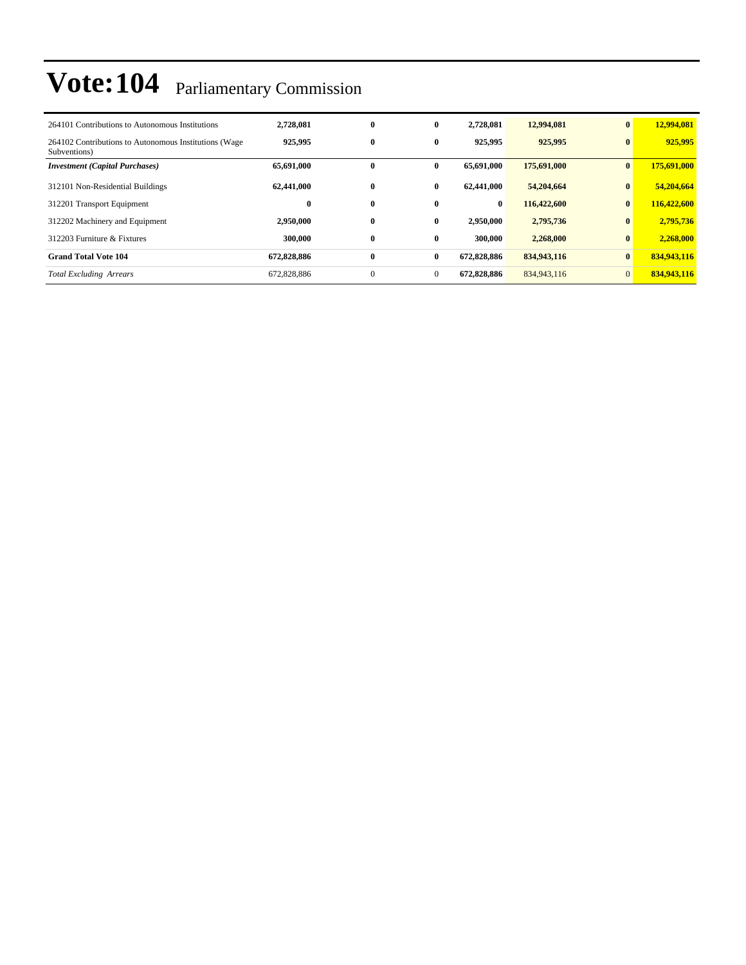| 264101 Contributions to Autonomous Institutions                       | 2,728,081   | $\bf{0}$     | $\bf{0}$     | 2,728,081   | 12,994,081  | $\bf{0}$       | 12,994,081  |
|-----------------------------------------------------------------------|-------------|--------------|--------------|-------------|-------------|----------------|-------------|
| 264102 Contributions to Autonomous Institutions (Wage<br>Subventions) | 925,995     | $\bf{0}$     | $\bf{0}$     | 925,995     | 925,995     | $\bf{0}$       | 925,995     |
| <b>Investment (Capital Purchases)</b>                                 | 65,691,000  | 0            | 0            | 65,691,000  | 175,691,000 | $\bf{0}$       | 175,691,000 |
| 312101 Non-Residential Buildings                                      | 62,441,000  | $\bf{0}$     | $\bf{0}$     | 62,441,000  | 54,204,664  | $\bf{0}$       | 54,204,664  |
| 312201 Transport Equipment                                            | $\bf{0}$    | $\bf{0}$     | 0            | $\bf{0}$    | 116,422,600 | $\bf{0}$       | 116,422,600 |
| 312202 Machinery and Equipment                                        | 2,950,000   | $\bf{0}$     | $\bf{0}$     | 2,950,000   | 2,795,736   | $\bf{0}$       | 2,795,736   |
| 312203 Furniture & Fixtures                                           | 300,000     | $\bf{0}$     | $\bf{0}$     | 300,000     | 2,268,000   | $\bf{0}$       | 2,268,000   |
| <b>Grand Total Vote 104</b>                                           | 672,828,886 | $\bf{0}$     | $\bf{0}$     | 672,828,886 | 834,943,116 | $\bf{0}$       | 834,943,116 |
| <b>Total Excluding Arrears</b>                                        | 672,828,886 | $\mathbf{0}$ | $\mathbf{0}$ | 672,828,886 | 834,943,116 | $\overline{0}$ | 834,943,116 |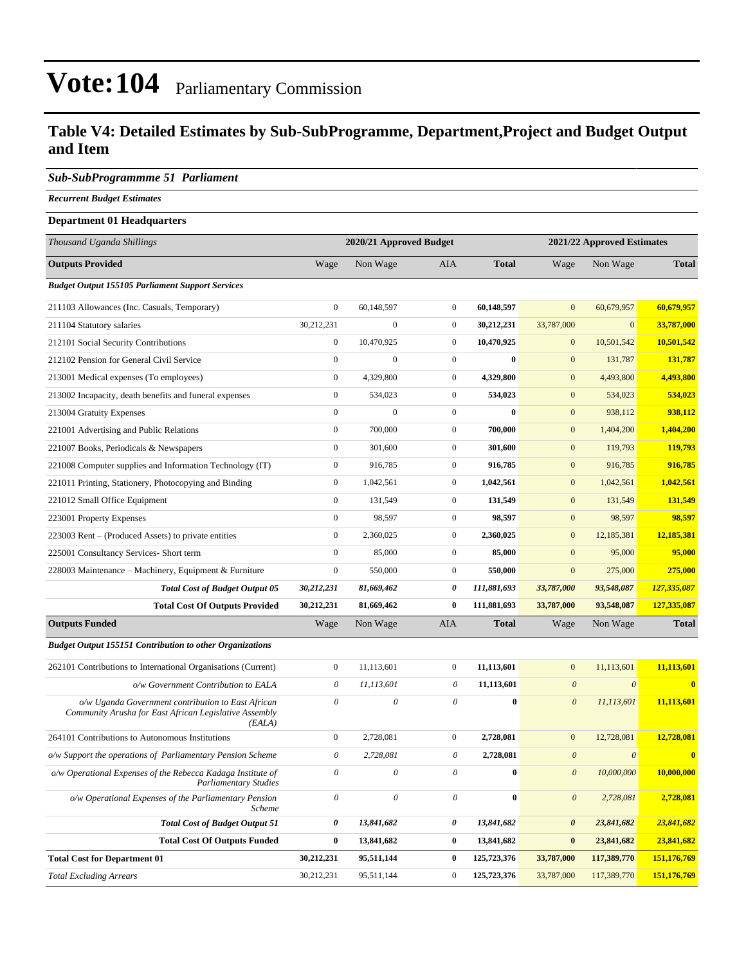### **Table V4: Detailed Estimates by Sub-SubProgramme, Department,Project and Budget Output and Item**

#### *Sub-SubProgrammme 51 Parliament*

*Recurrent Budget Estimates*

#### **Department 01 Headquarters**

| Thousand Uganda Shillings                                                                                              |                           | 2020/21 Approved Budget   |                       |              |                           | 2021/22 Approved Estimates |              |
|------------------------------------------------------------------------------------------------------------------------|---------------------------|---------------------------|-----------------------|--------------|---------------------------|----------------------------|--------------|
| <b>Outputs Provided</b>                                                                                                | Wage                      | Non Wage                  | <b>AIA</b>            | <b>Total</b> | Wage                      | Non Wage                   | <b>Total</b> |
| <b>Budget Output 155105 Parliament Support Services</b>                                                                |                           |                           |                       |              |                           |                            |              |
| 211103 Allowances (Inc. Casuals, Temporary)                                                                            | $\boldsymbol{0}$          | 60,148,597                | $\boldsymbol{0}$      | 60,148,597   | $\mathbf{0}$              | 60,679,957                 | 60,679,957   |
| 211104 Statutory salaries                                                                                              | 30,212,231                | $\mathbf{0}$              | $\boldsymbol{0}$      | 30,212,231   | 33,787,000                | $\mathbf{0}$               | 33,787,000   |
| 212101 Social Security Contributions                                                                                   | $\boldsymbol{0}$          | 10,470,925                | $\boldsymbol{0}$      | 10,470,925   | $\mathbf{0}$              | 10,501,542                 | 10,501,542   |
| 212102 Pension for General Civil Service                                                                               | $\boldsymbol{0}$          | $\boldsymbol{0}$          | $\boldsymbol{0}$      | $\bf{0}$     | $\mathbf{0}$              | 131,787                    | 131,787      |
| 213001 Medical expenses (To employees)                                                                                 | $\mathbf{0}$              | 4,329,800                 | $\boldsymbol{0}$      | 4,329,800    | $\mathbf{0}$              | 4,493,800                  | 4,493,800    |
| 213002 Incapacity, death benefits and funeral expenses                                                                 | $\mathbf{0}$              | 534,023                   | $\mathbf{0}$          | 534,023      | $\mathbf{0}$              | 534,023                    | 534,023      |
| 213004 Gratuity Expenses                                                                                               | $\boldsymbol{0}$          | $\mathbf{0}$              | $\boldsymbol{0}$      | $\bf{0}$     | $\mathbf{0}$              | 938,112                    | 938,112      |
| 221001 Advertising and Public Relations                                                                                | $\boldsymbol{0}$          | 700,000                   | $\boldsymbol{0}$      | 700,000      | $\mathbf{0}$              | 1,404,200                  | 1,404,200    |
| 221007 Books, Periodicals & Newspapers                                                                                 | $\boldsymbol{0}$          | 301,600                   | $\boldsymbol{0}$      | 301,600      | $\mathbf{0}$              | 119,793                    | 119,793      |
| 221008 Computer supplies and Information Technology (IT)                                                               | $\boldsymbol{0}$          | 916,785                   | $\mathbf{0}$          | 916,785      | $\mathbf{0}$              | 916,785                    | 916,785      |
| 221011 Printing, Stationery, Photocopying and Binding                                                                  | $\boldsymbol{0}$          | 1,042,561                 | $\boldsymbol{0}$      | 1,042,561    | $\mathbf{0}$              | 1,042,561                  | 1,042,561    |
| 221012 Small Office Equipment                                                                                          | $\boldsymbol{0}$          | 131,549                   | $\boldsymbol{0}$      | 131,549      | $\mathbf{0}$              | 131,549                    | 131,549      |
| 223001 Property Expenses                                                                                               | $\boldsymbol{0}$          | 98,597                    | $\boldsymbol{0}$      | 98,597       | $\mathbf{0}$              | 98,597                     | 98,597       |
| 223003 Rent – (Produced Assets) to private entities                                                                    | $\mathbf{0}$              | 2,360,025                 | $\boldsymbol{0}$      | 2,360,025    | $\mathbf{0}$              | 12,185,381                 | 12,185,381   |
| 225001 Consultancy Services- Short term                                                                                | $\boldsymbol{0}$          | 85,000                    | $\boldsymbol{0}$      | 85,000       | $\mathbf{0}$              | 95,000                     | 95,000       |
| 228003 Maintenance – Machinery, Equipment & Furniture                                                                  | $\mathbf{0}$              | 550,000                   | 0                     | 550,000      | $\mathbf{0}$              | 275,000                    | 275,000      |
| <b>Total Cost of Budget Output 05</b>                                                                                  | 30,212,231                | 81,669,462                | 0                     | 111,881,693  | 33,787,000                | 93,548,087                 | 127,335,087  |
| <b>Total Cost Of Outputs Provided</b>                                                                                  | 30,212,231                | 81,669,462                | 0                     | 111,881,693  | 33,787,000                | 93,548,087                 | 127,335,087  |
| <b>Outputs Funded</b>                                                                                                  | Wage                      | Non Wage                  | AIA                   | <b>Total</b> | Wage                      | Non Wage                   | <b>Total</b> |
| <b>Budget Output 155151 Contribution to other Organizations</b>                                                        |                           |                           |                       |              |                           |                            |              |
| 262101 Contributions to International Organisations (Current)                                                          | $\boldsymbol{0}$          | 11,113,601                | $\boldsymbol{0}$      | 11,113,601   | $\mathbf{0}$              | 11,113,601                 | 11,113,601   |
| o/w Government Contribution to EALA                                                                                    | 0                         | 11,113,601                | 0                     | 11,113,601   | $\boldsymbol{\theta}$     | $\boldsymbol{\theta}$      | $\bf{0}$     |
| o/w Uganda Government contribution to East African<br>Community Arusha for East African Legislative Assembly<br>(EALA) | $\theta$                  | $\boldsymbol{\mathit{0}}$ | $\theta$              | $\bf{0}$     | $\boldsymbol{\mathit{0}}$ | 11,113,601                 | 11,113,601   |
| 264101 Contributions to Autonomous Institutions                                                                        | $\boldsymbol{0}$          | 2,728,081                 | 0                     | 2,728,081    | $\mathbf{0}$              | 12,728,081                 | 12,728,081   |
| o/w Support the operations of Parliamentary Pension Scheme                                                             | 0                         | 2,728,081                 | 0                     | 2,728,081    | $\boldsymbol{\theta}$     | $\boldsymbol{\theta}$      | $\bf{0}$     |
| $o\!/\!w$ Operational Expenses of the Rebecca Kadaga Institute of<br><b>Parliamentary Studies</b>                      | $\theta$                  | $\theta$                  | 0                     | $\bf{0}$     | $\boldsymbol{\theta}$     | 10,000,000                 | 10,000,000   |
| o/w Operational Expenses of the Parliamentary Pension<br>Scheme                                                        | $\boldsymbol{\mathit{0}}$ | $\mathcal O$              | $\boldsymbol{\theta}$ | $\bf{0}$     | $\boldsymbol{\mathit{0}}$ | 2,728,081                  | 2,728,081    |
| <b>Total Cost of Budget Output 51</b>                                                                                  | 0                         | 13,841,682                | 0                     | 13,841,682   | $\boldsymbol{\theta}$     | 23,841,682                 | 23,841,682   |
| <b>Total Cost Of Outputs Funded</b>                                                                                    | $\bf{0}$                  | 13,841,682                | $\bf{0}$              | 13,841,682   | $\bf{0}$                  | 23,841,682                 | 23,841,682   |
| <b>Total Cost for Department 01</b>                                                                                    | 30,212,231                | 95,511,144                | $\bf{0}$              | 125,723,376  | 33,787,000                | 117,389,770                | 151,176,769  |
| <b>Total Excluding Arrears</b>                                                                                         | 30,212,231                | 95,511,144                | $\boldsymbol{0}$      | 125,723,376  | 33,787,000                | 117,389,770                | 151,176,769  |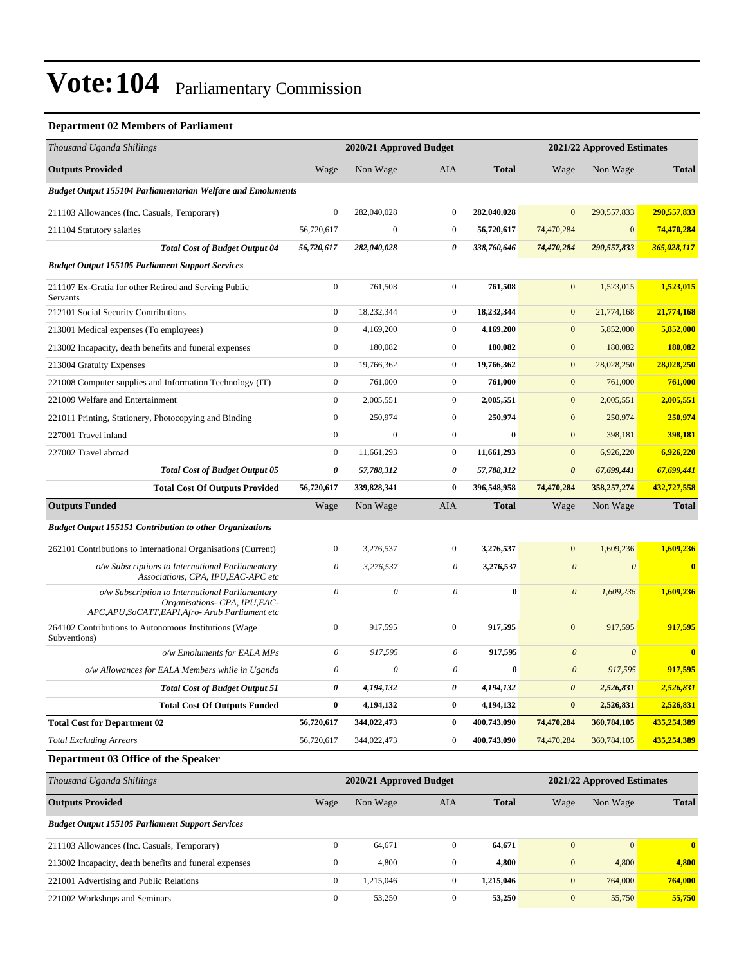### **Department 02 Members of Parliament**

| Thousand Uganda Shillings                                                                                                        |                       | 2020/21 Approved Budget   |                  |              |                       | 2021/22 Approved Estimates |              |
|----------------------------------------------------------------------------------------------------------------------------------|-----------------------|---------------------------|------------------|--------------|-----------------------|----------------------------|--------------|
| <b>Outputs Provided</b>                                                                                                          | Wage                  | Non Wage                  | AIA              | <b>Total</b> | Wage                  | Non Wage                   | <b>Total</b> |
| <b>Budget Output 155104 Parliamentarian Welfare and Emoluments</b>                                                               |                       |                           |                  |              |                       |                            |              |
| 211103 Allowances (Inc. Casuals, Temporary)                                                                                      | $\boldsymbol{0}$      | 282,040,028               | $\mathbf{0}$     | 282,040,028  | $\overline{0}$        | 290,557,833                | 290,557,833  |
| 211104 Statutory salaries                                                                                                        | 56,720,617            | $\mathbf{0}$              | $\mathbf{0}$     | 56,720,617   | 74,470,284            | $\mathbf{0}$               | 74,470,284   |
| <b>Total Cost of Budget Output 04</b>                                                                                            | 56,720,617            | 282,040,028               | 0                | 338,760,646  | 74,470,284            | 290,557,833                | 365,028,117  |
| <b>Budget Output 155105 Parliament Support Services</b>                                                                          |                       |                           |                  |              |                       |                            |              |
| 211107 Ex-Gratia for other Retired and Serving Public<br>Servants                                                                | $\boldsymbol{0}$      | 761,508                   | $\mathbf{0}$     | 761,508      | $\mathbf{0}$          | 1,523,015                  | 1,523,015    |
| 212101 Social Security Contributions                                                                                             | $\boldsymbol{0}$      | 18,232,344                | $\mathbf{0}$     | 18,232,344   | $\mathbf{0}$          | 21,774,168                 | 21,774,168   |
| 213001 Medical expenses (To employees)                                                                                           | $\boldsymbol{0}$      | 4,169,200                 | $\mathbf{0}$     | 4,169,200    | $\boldsymbol{0}$      | 5,852,000                  | 5,852,000    |
| 213002 Incapacity, death benefits and funeral expenses                                                                           | $\boldsymbol{0}$      | 180,082                   | $\mathbf{0}$     | 180,082      | $\mathbf{0}$          | 180,082                    | 180,082      |
| 213004 Gratuity Expenses                                                                                                         | $\boldsymbol{0}$      | 19,766,362                | $\mathbf{0}$     | 19,766,362   | $\boldsymbol{0}$      | 28,028,250                 | 28,028,250   |
| 221008 Computer supplies and Information Technology (IT)                                                                         | $\boldsymbol{0}$      | 761,000                   | $\mathbf{0}$     | 761,000      | $\mathbf{0}$          | 761,000                    | 761,000      |
| 221009 Welfare and Entertainment                                                                                                 | $\boldsymbol{0}$      | 2,005,551                 | $\mathbf{0}$     | 2,005,551    | $\boldsymbol{0}$      | 2,005,551                  | 2,005,551    |
| 221011 Printing, Stationery, Photocopying and Binding                                                                            | $\boldsymbol{0}$      | 250,974                   | $\mathbf{0}$     | 250,974      | $\overline{0}$        | 250,974                    | 250,974      |
| 227001 Travel inland                                                                                                             | $\boldsymbol{0}$      | $\mathbf{0}$              | $\mathbf{0}$     | $\bf{0}$     | $\mathbf{0}$          | 398,181                    | 398,181      |
| 227002 Travel abroad                                                                                                             | $\boldsymbol{0}$      | 11,661,293                | $\mathbf{0}$     | 11,661,293   | $\boldsymbol{0}$      | 6,926,220                  | 6,926,220    |
| <b>Total Cost of Budget Output 05</b>                                                                                            | 0                     | 57,788,312                | 0                | 57,788,312   | $\boldsymbol{\theta}$ | 67,699,441                 | 67,699,441   |
| <b>Total Cost Of Outputs Provided</b>                                                                                            | 56,720,617            | 339,828,341               | $\bf{0}$         | 396,548,958  | 74,470,284            | 358,257,274                | 432,727,558  |
| <b>Outputs Funded</b>                                                                                                            | Wage                  | Non Wage                  | AIA              | <b>Total</b> | Wage                  | Non Wage                   | <b>Total</b> |
| <b>Budget Output 155151 Contribution to other Organizations</b>                                                                  |                       |                           |                  |              |                       |                            |              |
| 262101 Contributions to International Organisations (Current)                                                                    | $\boldsymbol{0}$      | 3,276,537                 | $\mathbf{0}$     | 3,276,537    | $\mathbf{0}$          | 1,609,236                  | 1,609,236    |
| o/w Subscriptions to International Parliamentary<br>Associations, CPA, IPU, EAC-APC etc                                          | 0                     | 3,276,537                 | 0                | 3,276,537    | $\boldsymbol{\theta}$ | $\boldsymbol{\theta}$      | $\bf{0}$     |
| o/w Subscription to International Parliamentary<br>Organisations- CPA, IPU, EAC-<br>APC,APU,SoCATT,EAPI,Afro-Arab Parliament etc | $\theta$              | 0                         | 0                | $\bf{0}$     | $\boldsymbol{\theta}$ | 1,609,236                  | 1,609,236    |
| 264102 Contributions to Autonomous Institutions (Wage<br>Subventions)                                                            | $\boldsymbol{0}$      | 917,595                   | $\mathbf{0}$     | 917,595      | $\boldsymbol{0}$      | 917,595                    | 917,595      |
| o/w Emoluments for EALA MPs                                                                                                      | $\theta$              | 917,595                   | 0                | 917,595      | $\boldsymbol{0}$      | $\boldsymbol{\theta}$      | $\bf{0}$     |
| o/w Allowances for EALA Members while in Uganda                                                                                  | $\boldsymbol{\theta}$ | $\boldsymbol{\mathit{0}}$ | $\theta$         | $\bf{0}$     | $\boldsymbol{\theta}$ | 917,595                    | 917,595      |
| <b>Total Cost of Budget Output 51</b>                                                                                            | 0                     | 4,194,132                 | 0                | 4,194,132    | 0                     | 2,526,831                  | 2,526,831    |
| <b>Total Cost Of Outputs Funded</b>                                                                                              | $\bf{0}$              | 4,194,132                 | $\bf{0}$         | 4,194,132    | $\pmb{0}$             | 2,526,831                  | 2,526,831    |
| <b>Total Cost for Department 02</b>                                                                                              | 56,720,617            | 344,022,473               | $\bf{0}$         | 400,743,090  | 74,470,284            | 360,784,105                | 435,254,389  |
| <b>Total Excluding Arrears</b>                                                                                                   | 56,720,617            | 344,022,473               | $\boldsymbol{0}$ | 400,743,090  | 74,470,284            | 360,784,105                | 435,254,389  |
| Department 03 Office of the Speaker                                                                                              |                       |                           |                  |              |                       |                            |              |
| Thousand Uganda Shillings                                                                                                        |                       | 2020/21 Approved Budget   |                  |              |                       | 2021/22 Approved Estimates |              |
| <b>Outputs Provided</b>                                                                                                          | Wage                  | Non Wage                  | AIA              | <b>Total</b> | Wage                  | Non Wage                   | <b>Total</b> |
| <b>Budget Output 155105 Parliament Support Services</b>                                                                          |                       |                           |                  |              |                       |                            |              |
| 211103 Allowances (Inc. Casuals, Temporary)                                                                                      | $\boldsymbol{0}$      | 64,671                    | $\boldsymbol{0}$ | 64,671       | $\boldsymbol{0}$      | $\mathbf{0}$               | $\bf{0}$     |
| 213002 Incapacity, death benefits and funeral expenses                                                                           | $\boldsymbol{0}$      | 4,800                     | $\boldsymbol{0}$ | 4,800        | $\bf{0}$              | 4,800                      | 4,800        |
| 221001 Advertising and Public Relations                                                                                          | $\boldsymbol{0}$      | 1,215,046                 | $\boldsymbol{0}$ | 1,215,046    | $\boldsymbol{0}$      | 764,000                    | 764,000      |
| 221002 Workshops and Seminars                                                                                                    | $\boldsymbol{0}$      | 53,250                    | $\boldsymbol{0}$ | 53,250       | $\boldsymbol{0}$      | 55,750                     | 55,750       |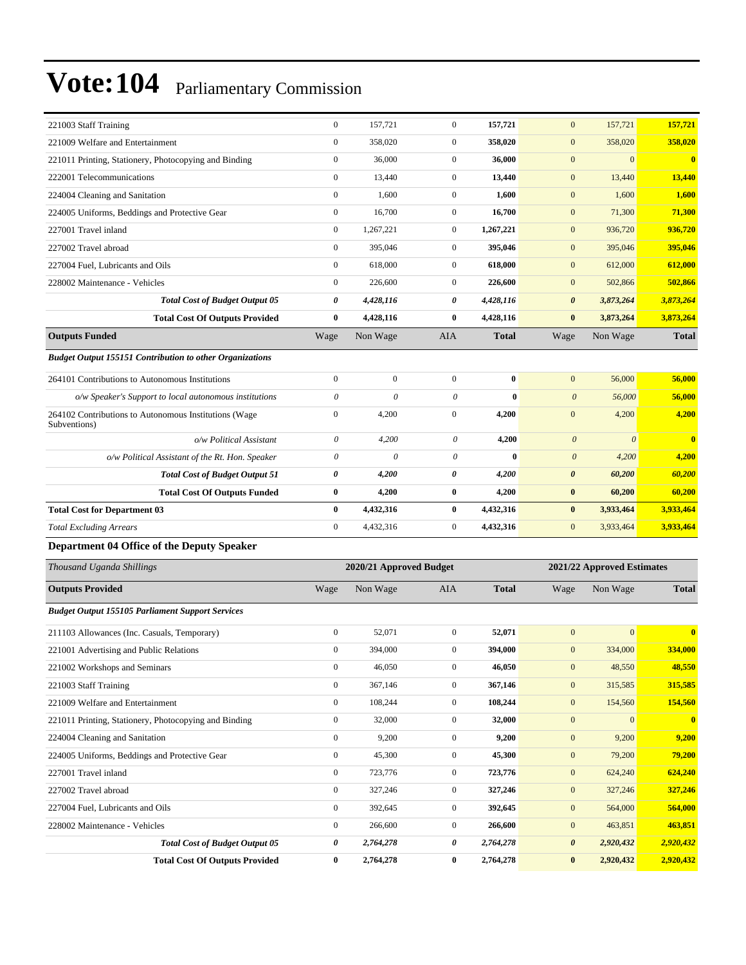| 221003 Staff Training                                           | $\boldsymbol{0}$      | 157,721                 | $\boldsymbol{0}$          | 157,721      | $\boldsymbol{0}$      | 157,721                    | 157,721                 |
|-----------------------------------------------------------------|-----------------------|-------------------------|---------------------------|--------------|-----------------------|----------------------------|-------------------------|
| 221009 Welfare and Entertainment                                | $\boldsymbol{0}$      | 358,020                 | $\boldsymbol{0}$          | 358,020      | $\mathbf{0}$          | 358,020                    | 358,020                 |
| 221011 Printing, Stationery, Photocopying and Binding           | $\boldsymbol{0}$      | 36,000                  | $\boldsymbol{0}$          | 36,000       | $\boldsymbol{0}$      | $\mathbf{0}$               | $\mathbf{0}$            |
| 222001 Telecommunications                                       | $\boldsymbol{0}$      | 13,440                  | $\mathbf{0}$              | 13,440       | $\boldsymbol{0}$      | 13,440                     | 13,440                  |
| 224004 Cleaning and Sanitation                                  | $\boldsymbol{0}$      | 1,600                   | $\mathbf{0}$              | 1,600        | $\boldsymbol{0}$      | 1,600                      | 1,600                   |
| 224005 Uniforms, Beddings and Protective Gear                   | $\boldsymbol{0}$      | 16,700                  | $\overline{0}$            | 16,700       | $\boldsymbol{0}$      | 71,300                     | 71,300                  |
| 227001 Travel inland                                            | $\boldsymbol{0}$      | 1,267,221               | $\mathbf{0}$              | 1,267,221    | $\boldsymbol{0}$      | 936,720                    | 936,720                 |
| 227002 Travel abroad                                            | $\boldsymbol{0}$      | 395,046                 | $\boldsymbol{0}$          | 395,046      | $\boldsymbol{0}$      | 395,046                    | 395,046                 |
| 227004 Fuel, Lubricants and Oils                                | $\boldsymbol{0}$      | 618,000                 | $\mathbf{0}$              | 618,000      | $\boldsymbol{0}$      | 612,000                    | 612,000                 |
| 228002 Maintenance - Vehicles                                   | $\boldsymbol{0}$      | 226,600                 | $\mathbf{0}$              | 226,600      | $\boldsymbol{0}$      | 502,866                    | 502,866                 |
| <b>Total Cost of Budget Output 05</b>                           | 0                     | 4,428,116               | 0                         | 4,428,116    | $\boldsymbol{\theta}$ | 3,873,264                  | 3,873,264               |
| <b>Total Cost Of Outputs Provided</b>                           | $\bf{0}$              | 4,428,116               | $\bf{0}$                  | 4,428,116    | $\bf{0}$              | 3,873,264                  | 3,873,264               |
| <b>Outputs Funded</b>                                           | Wage                  | Non Wage                | AIA                       | <b>Total</b> | Wage                  | Non Wage                   | <b>Total</b>            |
| <b>Budget Output 155151 Contribution to other Organizations</b> |                       |                         |                           |              |                       |                            |                         |
| 264101 Contributions to Autonomous Institutions                 | $\boldsymbol{0}$      | $\boldsymbol{0}$        | $\overline{0}$            | $\bf{0}$     | $\boldsymbol{0}$      | 56,000                     | 56,000                  |
| o/w Speaker's Support to local autonomous institutions          | $\boldsymbol{\theta}$ | 0                       | $\boldsymbol{\mathit{0}}$ | $\bf{0}$     | $\boldsymbol{\theta}$ | 56,000                     | 56,000                  |
| 264102 Contributions to Autonomous Institutions (Wage           | $\boldsymbol{0}$      | 4,200                   | $\mathbf{0}$              | 4,200        | $\boldsymbol{0}$      | 4,200                      | 4,200                   |
| Subventions)<br>o/w Political Assistant                         | $\boldsymbol{\theta}$ | 4,200                   | $\boldsymbol{\theta}$     | 4,200        | $\boldsymbol{\theta}$ | $\boldsymbol{\theta}$      | $\bf{0}$                |
| o/w Political Assistant of the Rt. Hon. Speaker                 | $\theta$              | 0                       | $\boldsymbol{\mathit{0}}$ | $\bf{0}$     | $\boldsymbol{\theta}$ | 4,200                      | 4,200                   |
| <b>Total Cost of Budget Output 51</b>                           | 0                     | 4,200                   | 0                         | 4,200        | $\boldsymbol{\theta}$ | 60,200                     | 60,200                  |
| <b>Total Cost Of Outputs Funded</b>                             | $\bf{0}$              | 4,200                   | $\bf{0}$                  | 4,200        | $\bf{0}$              | 60,200                     | 60,200                  |
| <b>Total Cost for Department 03</b>                             | $\bf{0}$              | 4,432,316               | $\bf{0}$                  | 4,432,316    | $\bf{0}$              | 3,933,464                  | 3,933,464               |
| <b>Total Excluding Arrears</b>                                  | $\boldsymbol{0}$      | 4,432,316               | $\mathbf{0}$              | 4,432,316    | $\mathbf{0}$          | 3,933,464                  | 3,933,464               |
| Department 04 Office of the Deputy Speaker                      |                       |                         |                           |              |                       |                            |                         |
| Thousand Uganda Shillings                                       |                       | 2020/21 Approved Budget |                           |              |                       | 2021/22 Approved Estimates |                         |
|                                                                 |                       |                         |                           |              |                       |                            |                         |
| <b>Outputs Provided</b>                                         | Wage                  | Non Wage                | AIA                       | <b>Total</b> | Wage                  | Non Wage                   | <b>Total</b>            |
| <b>Budget Output 155105 Parliament Support Services</b>         |                       |                         |                           |              |                       |                            |                         |
| 211103 Allowances (Inc. Casuals, Temporary)                     | $\boldsymbol{0}$      | 52,071                  | $\boldsymbol{0}$          | 52,071       | $\mathbf{0}$          | $\mathbf{0}$               | $\overline{\mathbf{0}}$ |
| 221001 Advertising and Public Relations                         | $\boldsymbol{0}$      | 394,000                 | $\boldsymbol{0}$          | 394,000      | $\mathbf{0}$          | 334,000                    | 334,000                 |
| 221002 Workshops and Seminars                                   | $\boldsymbol{0}$      | 46,050                  | $\boldsymbol{0}$          | 46,050       | $\boldsymbol{0}$      | 48,550                     | 48,550                  |
| 221003 Staff Training                                           | $\mathbf{0}$          | 367,146                 | $\boldsymbol{0}$          | 367,146      | $\boldsymbol{0}$      | 315,585                    | 315,585                 |
| 221009 Welfare and Entertainment                                | $\boldsymbol{0}$      | 108,244                 | $\mathbf{0}$              | 108,244      | $\boldsymbol{0}$      | 154,560                    | 154,560                 |
| 221011 Printing, Stationery, Photocopying and Binding           | $\boldsymbol{0}$      | 32,000                  | $\boldsymbol{0}$          | 32,000       | $\boldsymbol{0}$      | $\mathbf{0}$               | $\bf{0}$                |
| 224004 Cleaning and Sanitation                                  | $\boldsymbol{0}$      | 9,200                   | $\boldsymbol{0}$          | 9,200        | $\boldsymbol{0}$      | 9,200                      | 9,200                   |
| 224005 Uniforms, Beddings and Protective Gear                   | $\boldsymbol{0}$      | 45,300                  | $\boldsymbol{0}$          | 45,300       | $\boldsymbol{0}$      | 79,200                     | 79,200                  |
|                                                                 |                       |                         |                           |              |                       |                            | 624,240                 |
| 227001 Travel inland                                            | $\boldsymbol{0}$      | 723,776                 | $\boldsymbol{0}$          | 723,776      | $\boldsymbol{0}$      | 624,240                    |                         |
| 227002 Travel abroad                                            | $\boldsymbol{0}$      | 327,246                 | $\boldsymbol{0}$          | 327,246      | $\boldsymbol{0}$      | 327,246                    | 327,246                 |
| 227004 Fuel, Lubricants and Oils                                | $\mathbf{0}$          | 392,645                 | $\boldsymbol{0}$          | 392,645      | $\boldsymbol{0}$      | 564,000                    | 564,000                 |
| 228002 Maintenance - Vehicles                                   | $\boldsymbol{0}$      | 266,600                 | $\boldsymbol{0}$          | 266,600      | $\boldsymbol{0}$      | 463,851                    | 463,851                 |
| <b>Total Cost of Budget Output 05</b>                           | 0                     | 2,764,278               | 0                         | 2,764,278    | $\pmb{\theta}$        | 2,920,432                  | 2,920,432<br>2,920,432  |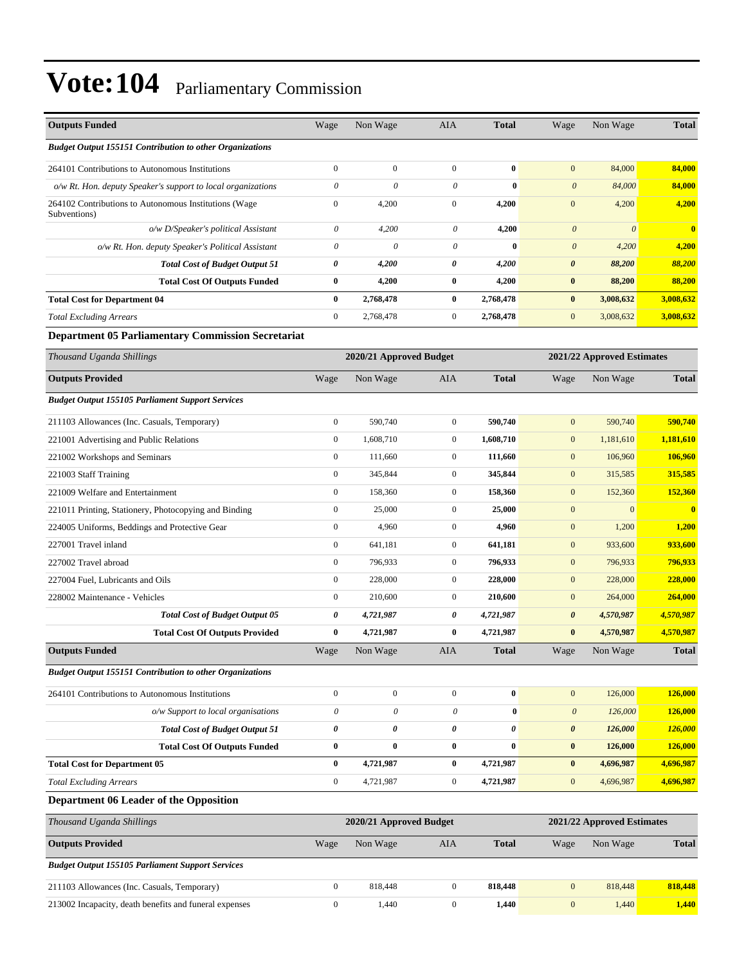| <b>Outputs Funded</b>                                                 | Wage                      | Non Wage                | AIA              | <b>Total</b> | Wage                      | Non Wage                   | <b>Total</b>            |
|-----------------------------------------------------------------------|---------------------------|-------------------------|------------------|--------------|---------------------------|----------------------------|-------------------------|
| <b>Budget Output 155151 Contribution to other Organizations</b>       |                           |                         |                  |              |                           |                            |                         |
| 264101 Contributions to Autonomous Institutions                       | $\overline{0}$            | $\mathbf{0}$            | $\boldsymbol{0}$ | $\bf{0}$     | $\boldsymbol{0}$          | 84,000                     | 84,000                  |
| o/w Rt. Hon. deputy Speaker's support to local organizations          | $\boldsymbol{\theta}$     | $\theta$                | $\theta$         | $\bf{0}$     | $\boldsymbol{\theta}$     | 84,000                     | 84,000                  |
| 264102 Contributions to Autonomous Institutions (Wage<br>Subventions) | $\boldsymbol{0}$          | 4,200                   | $\mathbf{0}$     | 4,200        | $\boldsymbol{0}$          | 4,200                      | 4,200                   |
| o/w D/Speaker's political Assistant                                   | $\boldsymbol{\theta}$     | 4,200                   | $\theta$         | 4,200        | $\boldsymbol{\theta}$     | $\boldsymbol{\theta}$      | $\bf{0}$                |
| o/w Rt. Hon. deputy Speaker's Political Assistant                     | $\theta$                  | $\boldsymbol{\theta}$   | $\theta$         | $\bf{0}$     | $\boldsymbol{\theta}$     | 4,200                      | 4,200                   |
| <b>Total Cost of Budget Output 51</b>                                 | 0                         | 4,200                   | $\pmb{\theta}$   | 4,200        | $\pmb{\theta}$            | 88,200                     | 88,200                  |
| <b>Total Cost Of Outputs Funded</b>                                   | $\bf{0}$                  | 4,200                   | $\bf{0}$         | 4,200        | $\bf{0}$                  | 88,200                     | 88,200                  |
| <b>Total Cost for Department 04</b>                                   | 0                         | 2,768,478               | $\bf{0}$         | 2,768,478    | $\bf{0}$                  | 3,008,632                  | 3,008,632               |
| <b>Total Excluding Arrears</b>                                        | $\overline{0}$            | 2,768,478               | $\boldsymbol{0}$ | 2,768,478    | $\mathbf{0}$              | 3,008,632                  | 3,008,632               |
| <b>Department 05 Parliamentary Commission Secretariat</b>             |                           |                         |                  |              |                           |                            |                         |
| Thousand Uganda Shillings                                             |                           | 2020/21 Approved Budget |                  |              |                           | 2021/22 Approved Estimates |                         |
| <b>Outputs Provided</b>                                               | Wage                      | Non Wage                | AIA              | <b>Total</b> | Wage                      | Non Wage                   | <b>Total</b>            |
| <b>Budget Output 155105 Parliament Support Services</b>               |                           |                         |                  |              |                           |                            |                         |
| 211103 Allowances (Inc. Casuals, Temporary)                           | $\boldsymbol{0}$          | 590,740                 | $\mathbf{0}$     | 590,740      | $\mathbf{0}$              | 590,740                    | 590,740                 |
| 221001 Advertising and Public Relations                               | $\boldsymbol{0}$          | 1,608,710               | $\boldsymbol{0}$ | 1,608,710    | $\boldsymbol{0}$          | 1,181,610                  | 1,181,610               |
| 221002 Workshops and Seminars                                         | $\boldsymbol{0}$          | 111.660                 | $\mathbf{0}$     | 111,660      | $\mathbf{0}$              | 106,960                    | 106,960                 |
| 221003 Staff Training                                                 | $\boldsymbol{0}$          | 345,844                 | $\mathbf{0}$     | 345,844      | $\boldsymbol{0}$          | 315,585                    | 315,585                 |
| 221009 Welfare and Entertainment                                      | $\boldsymbol{0}$          | 158,360                 | $\mathbf{0}$     | 158,360      | $\boldsymbol{0}$          | 152,360                    | <b>152,360</b>          |
| 221011 Printing, Stationery, Photocopying and Binding                 | $\boldsymbol{0}$          | 25,000                  | $\mathbf{0}$     | 25,000       | $\mathbf{0}$              | $\mathbf{0}$               | $\overline{\mathbf{0}}$ |
| 224005 Uniforms, Beddings and Protective Gear                         | $\boldsymbol{0}$          | 4,960                   | $\boldsymbol{0}$ | 4,960        | $\boldsymbol{0}$          | 1,200                      | 1,200                   |
| 227001 Travel inland                                                  | $\boldsymbol{0}$          | 641,181                 | $\mathbf{0}$     | 641,181      | $\mathbf{0}$              | 933,600                    | 933,600                 |
| 227002 Travel abroad                                                  | $\boldsymbol{0}$          | 796,933                 | $\mathbf{0}$     | 796,933      | $\boldsymbol{0}$          | 796,933                    | 796,933                 |
| 227004 Fuel, Lubricants and Oils                                      | $\boldsymbol{0}$          | 228,000                 | $\mathbf{0}$     | 228,000      | $\boldsymbol{0}$          | 228,000                    | 228,000                 |
| 228002 Maintenance - Vehicles                                         | $\boldsymbol{0}$          | 210,600                 | $\mathbf{0}$     | 210,600      | $\mathbf{0}$              | 264,000                    | 264,000                 |
| <b>Total Cost of Budget Output 05</b>                                 | 0                         | 4,721,987               | 0                | 4,721,987    | $\pmb{\theta}$            | 4,570,987                  | 4,570,987               |
| <b>Total Cost Of Outputs Provided</b>                                 | 0                         | 4,721,987               | $\bf{0}$         | 4,721,987    | $\bf{0}$                  | 4,570,987                  | 4,570,987               |
| <b>Outputs Funded</b>                                                 | Wage                      | Non Wage                | AIA              | <b>Total</b> | Wage                      | Non Wage                   | <b>Total</b>            |
| <b>Budget Output 155151 Contribution to other Organizations</b>       |                           |                         |                  |              |                           |                            |                         |
| 264101 Contributions to Autonomous Institutions                       | $\boldsymbol{0}$          | $\mathbf{0}$            | $\mathbf{0}$     | $\bf{0}$     | $\mathbf{0}$              | 126,000                    | 126,000                 |
| o/w Support to local organisations                                    | $\boldsymbol{\mathit{0}}$ | $\theta$                | $\theta$         | $\bf{0}$     | $\boldsymbol{\mathit{0}}$ | 126,000                    | 126,000                 |
| <b>Total Cost of Budget Output 51</b>                                 | 0                         | 0                       | 0                | 0            | $\boldsymbol{\theta}$     | 126,000                    | 126,000                 |
| <b>Total Cost Of Outputs Funded</b>                                   | $\bf{0}$                  | $\bf{0}$                | $\bf{0}$         | $\bf{0}$     | $\pmb{0}$                 | 126,000                    | 126,000                 |
| <b>Total Cost for Department 05</b>                                   | $\bf{0}$                  | 4,721,987               | $\bf{0}$         | 4,721,987    | $\bf{0}$                  | 4,696,987                  | 4,696,987               |
| <b>Total Excluding Arrears</b>                                        | $\boldsymbol{0}$          | 4,721,987               | $\boldsymbol{0}$ | 4,721,987    | $\mathbf{0}$              | 4,696,987                  | 4,696,987               |
| Department 06 Leader of the Opposition                                |                           |                         |                  |              |                           |                            |                         |
| Thousand Uganda Shillings                                             |                           | 2020/21 Approved Budget |                  |              |                           | 2021/22 Approved Estimates |                         |
| <b>Outputs Provided</b>                                               | Wage                      | Non Wage                | AIA              | <b>Total</b> | Wage                      | Non Wage                   | <b>Total</b>            |
| <b>Budget Output 155105 Parliament Support Services</b>               |                           |                         |                  |              |                           |                            |                         |
| 211103 Allowances (Inc. Casuals, Temporary)                           | $\boldsymbol{0}$          | 818,448                 | $\mathbf{0}$     | 818,448      | $\mathbf{0}$              | 818,448                    | 818,448                 |
| 213002 Incapacity, death benefits and funeral expenses                | $\boldsymbol{0}$          | 1,440                   | $\boldsymbol{0}$ | 1,440        | $\boldsymbol{0}$          | 1,440                      | 1,440                   |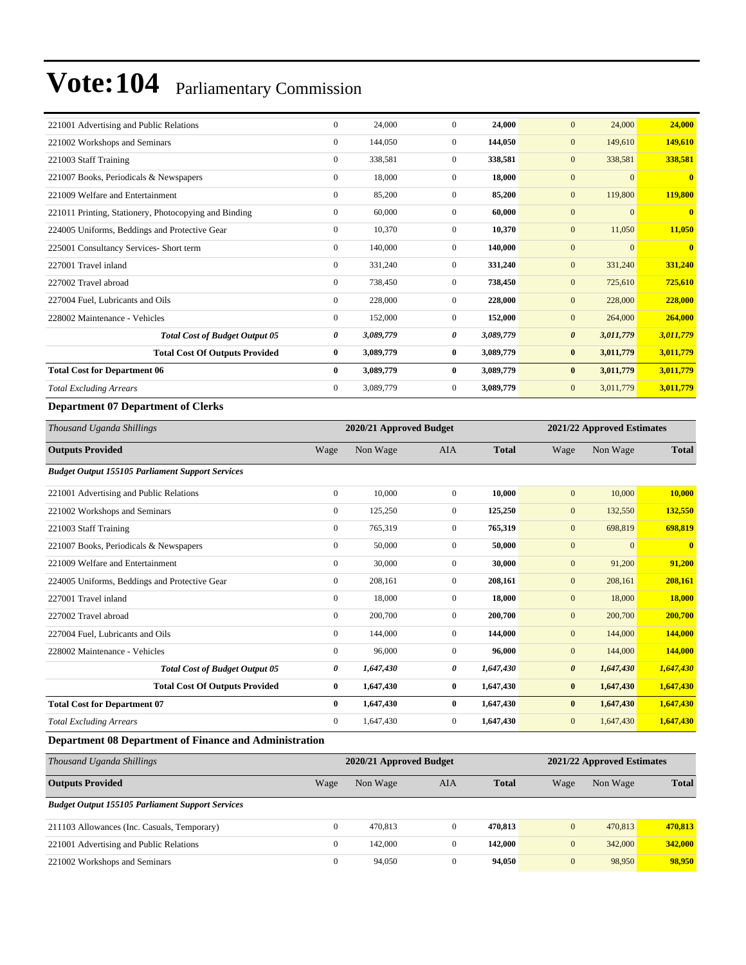| 221001 Advertising and Public Relations                                                                                                                                                                                                                                                                                            | $\mathbf{0}$     | 24,000    | $\Omega$       | 24,000    | 24,000<br>$\mathbf{0}$             | 24,000       |
|------------------------------------------------------------------------------------------------------------------------------------------------------------------------------------------------------------------------------------------------------------------------------------------------------------------------------------|------------------|-----------|----------------|-----------|------------------------------------|--------------|
| 221002 Workshops and Seminars                                                                                                                                                                                                                                                                                                      | $\overline{0}$   | 144,050   | $\overline{0}$ | 144,050   | 149,610<br>$\mathbf{0}$            | 149,610      |
| 221003 Staff Training                                                                                                                                                                                                                                                                                                              | $\boldsymbol{0}$ | 338,581   | $\overline{0}$ | 338,581   | $\mathbf{0}$<br>338,581            | 338,581      |
| 221007 Books, Periodicals & Newspapers                                                                                                                                                                                                                                                                                             | $\overline{0}$   | 18,000    | $\overline{0}$ | 18,000    | $\Omega$<br>$\mathbf{0}$           | $\mathbf{0}$ |
| 221009 Welfare and Entertainment                                                                                                                                                                                                                                                                                                   | $\overline{0}$   | 85,200    | $\Omega$       | 85,200    | $\mathbf{0}$<br>119,800            | 119,800      |
| 221011 Printing, Stationery, Photocopying and Binding                                                                                                                                                                                                                                                                              | $\overline{0}$   | 60,000    | $\overline{0}$ | 60,000    | $\overline{0}$<br>$\mathbf{0}$     | $\mathbf{0}$ |
| 224005 Uniforms, Beddings and Protective Gear                                                                                                                                                                                                                                                                                      | $\overline{0}$   | 10,370    | $\overline{0}$ | 10,370    | 11,050<br>$\mathbf{0}$             | 11,050       |
| 225001 Consultancy Services- Short term                                                                                                                                                                                                                                                                                            | $\overline{0}$   | 140,000   | $\overline{0}$ | 140,000   | $\overline{0}$<br>$\mathbf{0}$     | $\mathbf{0}$ |
| 227001 Travel inland                                                                                                                                                                                                                                                                                                               | $\overline{0}$   | 331,240   | $\overline{0}$ | 331,240   | $\mathbf{0}$<br>331,240            | 331,240      |
| 227002 Travel abroad                                                                                                                                                                                                                                                                                                               | $\overline{0}$   | 738,450   | $\overline{0}$ | 738,450   | $\mathbf{0}$<br>725,610            | 725,610      |
| 227004 Fuel, Lubricants and Oils                                                                                                                                                                                                                                                                                                   | $\overline{0}$   | 228,000   | $\overline{0}$ | 228,000   | $\mathbf{0}$<br>228,000            | 228,000      |
| 228002 Maintenance - Vehicles                                                                                                                                                                                                                                                                                                      | $\overline{0}$   | 152,000   | $\overline{0}$ | 152,000   | $\mathbf{0}$<br>264,000            | 264,000      |
| <b>Total Cost of Budget Output 05</b>                                                                                                                                                                                                                                                                                              | 0                | 3,089,779 | 0              | 3,089,779 | $\boldsymbol{\theta}$<br>3,011,779 | 3,011,779    |
| <b>Total Cost Of Outputs Provided</b>                                                                                                                                                                                                                                                                                              | $\bf{0}$         | 3,089,779 | $\bf{0}$       | 3,089,779 | $\bf{0}$<br>3,011,779              | 3,011,779    |
| <b>Total Cost for Department 06</b>                                                                                                                                                                                                                                                                                                | $\bf{0}$         | 3,089,779 | $\bf{0}$       | 3,089,779 | $\bf{0}$<br>3,011,779              | 3,011,779    |
| <b>Total Excluding Arrears</b>                                                                                                                                                                                                                                                                                                     | $\overline{0}$   | 3,089,779 | $\overline{0}$ | 3,089,779 | $\mathbf{0}$<br>3,011,779          | 3,011,779    |
| $\mathbf{D}$ $\mathbf{A}$ $\mathbf{A}$ $\mathbf{F}$ $\mathbf{D}$ $\mathbf{A}$ $\mathbf{A}$ $\mathbf{A}$ $\mathbf{A}$ $\mathbf{A}$ $\mathbf{A}$ $\mathbf{A}$ $\mathbf{A}$ $\mathbf{A}$ $\mathbf{A}$ $\mathbf{A}$ $\mathbf{A}$ $\mathbf{A}$ $\mathbf{A}$ $\mathbf{A}$ $\mathbf{A}$ $\mathbf{A}$ $\mathbf{A}$ $\mathbf{A}$ $\mathbf{$ |                  |           |                |           |                                    |              |

#### **Department 07 Department of Clerks**

| Thousand Uganda Shillings                                     | 2020/21 Approved Budget<br>2021/22 Approved Estimates |           |              |              |                       |              |              |
|---------------------------------------------------------------|-------------------------------------------------------|-----------|--------------|--------------|-----------------------|--------------|--------------|
| <b>Outputs Provided</b>                                       | Wage                                                  | Non Wage  | <b>AIA</b>   | <b>Total</b> | Wage                  | Non Wage     | <b>Total</b> |
| <b>Budget Output 155105 Parliament Support Services</b>       |                                                       |           |              |              |                       |              |              |
| 221001 Advertising and Public Relations                       | $\overline{0}$                                        | 10.000    | $\mathbf{0}$ | 10.000       | $\mathbf{0}$          | 10,000       | 10,000       |
| 221002 Workshops and Seminars                                 | $\overline{0}$                                        | 125,250   | $\mathbf{0}$ | 125,250      | $\mathbf{0}$          | 132,550      | 132,550      |
| 221003 Staff Training                                         | $\mathbf{0}$                                          | 765,319   | $\Omega$     | 765,319      | $\mathbf{0}$          | 698,819      | 698,819      |
| 221007 Books, Periodicals & Newspapers                        | $\overline{0}$                                        | 50,000    | $\mathbf{0}$ | 50,000       | $\mathbf{0}$          | $\mathbf{0}$ | $\mathbf{0}$ |
| 221009 Welfare and Entertainment                              | $\mathbf{0}$                                          | 30,000    | $\mathbf{0}$ | 30,000       | $\mathbf{0}$          | 91,200       | 91,200       |
| 224005 Uniforms, Beddings and Protective Gear                 | $\overline{0}$                                        | 208,161   | $\mathbf{0}$ | 208,161      | $\mathbf{0}$          | 208,161      | 208,161      |
| 227001 Travel inland                                          | $\mathbf{0}$                                          | 18,000    | $\mathbf{0}$ | 18,000       | $\mathbf{0}$          | 18,000       | 18,000       |
| 227002 Travel abroad                                          | $\overline{0}$                                        | 200,700   | $\Omega$     | 200,700      | $\mathbf{0}$          | 200,700      | 200,700      |
| 227004 Fuel, Lubricants and Oils                              | $\overline{0}$                                        | 144,000   | $\mathbf{0}$ | 144,000      | $\mathbf{0}$          | 144,000      | 144,000      |
| 228002 Maintenance - Vehicles                                 | $\mathbf{0}$                                          | 96,000    | $\mathbf{0}$ | 96,000       | $\mathbf{0}$          | 144,000      | 144,000      |
| <b>Total Cost of Budget Output 05</b>                         | 0                                                     | 1,647,430 | 0            | 1,647,430    | $\boldsymbol{\theta}$ | 1,647,430    | 1,647,430    |
| <b>Total Cost Of Outputs Provided</b>                         | $\bf{0}$                                              | 1,647,430 | $\bf{0}$     | 1,647,430    | $\bf{0}$              | 1,647,430    | 1,647,430    |
| <b>Total Cost for Department 07</b>                           | $\bf{0}$                                              | 1,647,430 | $\bf{0}$     | 1,647,430    | $\bf{0}$              | 1,647,430    | 1,647,430    |
| <b>Total Excluding Arrears</b>                                | $\overline{0}$                                        | 1,647,430 | $\mathbf{0}$ | 1,647,430    | $\mathbf{0}$          | 1,647,430    | 1,647,430    |
| <b>Department 08 Department of Finance and Administration</b> |                                                       |           |              |              |                       |              |              |

*Thousand Uganda Shillings* **2020/21 Approved Budget 2021/22 Approved Estimates Outputs Provided** Wage Non Wage AIA **Total** Wage Non Wage **Total** *Budget Output 155105 Parliament Support Services* 211103 Allowances (Inc. Casuals, Temporary) 0 470,813 0 **470,813** 0 470,813 **470,813** 221001 Advertising and Public Relations 0 142,000 0 **142,000** 0 342,000 **342,000** 221002 Workshops and Seminars 0 94,050 0 **94,050** 0 98,950 **98,950**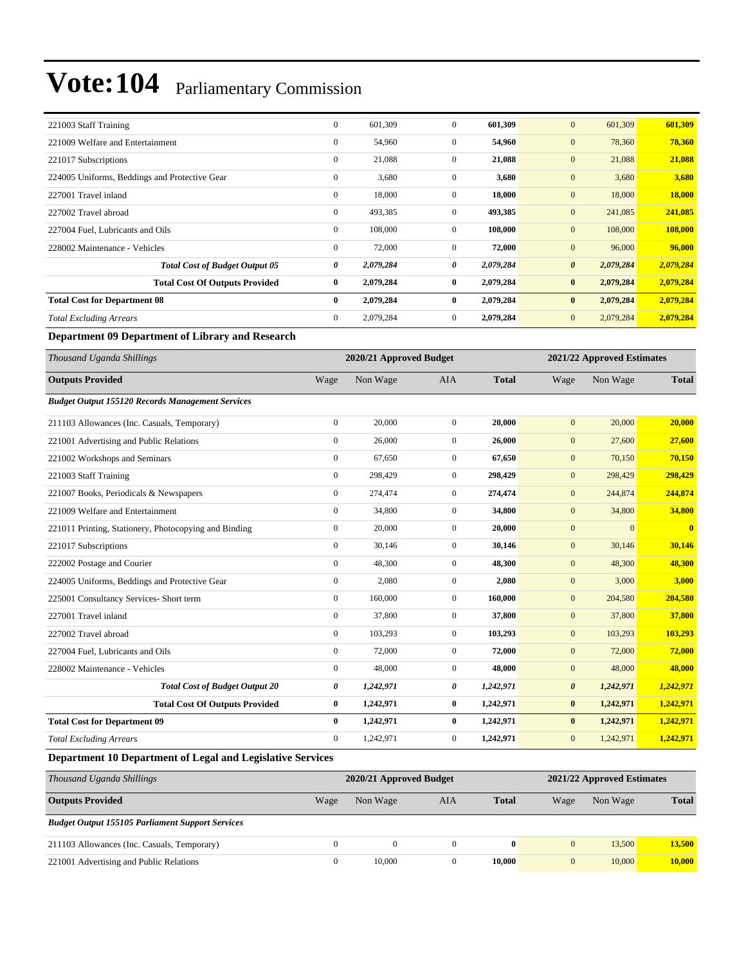| 221003 Staff Training                                      | $\boldsymbol{0}$ | 601,309                 | $\boldsymbol{0}$ | 601,309      | $\mathbf{0}$          | 601,309                    | 601,309       |
|------------------------------------------------------------|------------------|-------------------------|------------------|--------------|-----------------------|----------------------------|---------------|
| 221009 Welfare and Entertainment                           | $\boldsymbol{0}$ | 54,960                  | $\boldsymbol{0}$ | 54,960       | $\mathbf{0}$          | 78,360                     | 78,360        |
| 221017 Subscriptions                                       | $\boldsymbol{0}$ | 21,088                  | $\boldsymbol{0}$ | 21,088       | $\mathbf{0}$          | 21,088                     | 21,088        |
| 224005 Uniforms, Beddings and Protective Gear              | $\boldsymbol{0}$ | 3,680                   | $\boldsymbol{0}$ | 3,680        | $\mathbf{0}$          | 3,680                      | 3,680         |
| 227001 Travel inland                                       | $\boldsymbol{0}$ | 18,000                  | $\boldsymbol{0}$ | 18,000       | $\boldsymbol{0}$      | 18,000                     | <b>18,000</b> |
| 227002 Travel abroad                                       | $\boldsymbol{0}$ | 493,385                 | $\boldsymbol{0}$ | 493,385      | $\mathbf{0}$          | 241,085                    | 241,085       |
| 227004 Fuel, Lubricants and Oils                           | $\boldsymbol{0}$ | 108,000                 | $\boldsymbol{0}$ | 108,000      | $\boldsymbol{0}$      | 108,000                    | 108,000       |
| 228002 Maintenance - Vehicles                              | $\boldsymbol{0}$ | 72,000                  | $\boldsymbol{0}$ | 72,000       | $\mathbf{0}$          | 96,000                     | 96,000        |
| <b>Total Cost of Budget Output 05</b>                      | 0                | 2,079,284               | 0                | 2,079,284    | $\boldsymbol{\theta}$ | 2,079,284                  | 2,079,284     |
| <b>Total Cost Of Outputs Provided</b>                      | $\bf{0}$         | 2,079,284               | $\bf{0}$         | 2,079,284    | $\bf{0}$              | 2,079,284                  | 2,079,284     |
| <b>Total Cost for Department 08</b>                        | $\bf{0}$         | 2,079,284               | $\bf{0}$         | 2,079,284    | $\bf{0}$              | 2,079,284                  | 2,079,284     |
| <b>Total Excluding Arrears</b>                             | $\boldsymbol{0}$ | 2,079,284               | $\boldsymbol{0}$ | 2,079,284    | $\mathbf{0}$          | 2,079,284                  | 2,079,284     |
| Department 09 Department of Library and Research           |                  |                         |                  |              |                       |                            |               |
| Thousand Uganda Shillings                                  |                  | 2020/21 Approved Budget |                  |              |                       | 2021/22 Approved Estimates |               |
| <b>Outputs Provided</b>                                    | Wage             | Non Wage                | AIA              | <b>Total</b> | Wage                  | Non Wage                   | <b>Total</b>  |
| <b>Budget Output 155120 Records Management Services</b>    |                  |                         |                  |              |                       |                            |               |
| 211103 Allowances (Inc. Casuals, Temporary)                | $\boldsymbol{0}$ | 20,000                  | $\boldsymbol{0}$ | 20,000       | $\mathbf{0}$          | 20,000                     | 20,000        |
| 221001 Advertising and Public Relations                    | $\boldsymbol{0}$ | 26,000                  | $\boldsymbol{0}$ | 26,000       | $\mathbf{0}$          | 27,600                     | 27,600        |
| 221002 Workshops and Seminars                              | $\boldsymbol{0}$ | 67,650                  | $\mathbf{0}$     | 67,650       | $\boldsymbol{0}$      | 70,150                     | 70,150        |
| 221003 Staff Training                                      | $\boldsymbol{0}$ | 298,429                 | $\boldsymbol{0}$ | 298,429      | $\mathbf{0}$          | 298,429                    | 298,429       |
| 221007 Books, Periodicals & Newspapers                     | $\boldsymbol{0}$ | 274,474                 | $\boldsymbol{0}$ | 274,474      | $\mathbf{0}$          | 244,874                    | 244,874       |
| 221009 Welfare and Entertainment                           | $\boldsymbol{0}$ | 34,800                  | $\mathbf{0}$     | 34,800       | $\mathbf{0}$          | 34,800                     | 34,800        |
| 221011 Printing, Stationery, Photocopying and Binding      | $\boldsymbol{0}$ | 20,000                  | $\boldsymbol{0}$ | 20,000       | $\mathbf{0}$          | $\boldsymbol{0}$           | $\bf{0}$      |
| 221017 Subscriptions                                       | $\boldsymbol{0}$ | 30,146                  | $\mathbf{0}$     | 30,146       | $\boldsymbol{0}$      | 30,146                     | 30,146        |
| 222002 Postage and Courier                                 | $\boldsymbol{0}$ | 48,300                  | $\boldsymbol{0}$ | 48,300       | $\mathbf{0}$          | 48,300                     | 48,300        |
| 224005 Uniforms, Beddings and Protective Gear              | $\boldsymbol{0}$ | 2,080                   | $\mathbf{0}$     | 2,080        | $\boldsymbol{0}$      | 3,000                      | 3,000         |
| 225001 Consultancy Services- Short term                    | $\boldsymbol{0}$ | 160,000                 | $\boldsymbol{0}$ | 160,000      | $\mathbf{0}$          | 204,580                    | 204,580       |
| 227001 Travel inland                                       | $\boldsymbol{0}$ | 37,800                  | $\boldsymbol{0}$ | 37,800       | $\mathbf{0}$          | 37,800                     | 37,800        |
| 227002 Travel abroad                                       | $\boldsymbol{0}$ | 103,293                 | $\boldsymbol{0}$ | 103,293      | $\mathbf{0}$          | 103,293                    | 103,293       |
| 227004 Fuel, Lubricants and Oils                           | $\boldsymbol{0}$ | 72,000                  | $\boldsymbol{0}$ | 72,000       | $\boldsymbol{0}$      | 72,000                     | 72,000        |
| 228002 Maintenance - Vehicles                              | $\boldsymbol{0}$ | 48,000                  | 0                | 48,000       | $\mathbf{0}$          | 48,000                     | 48,000        |
| <b>Total Cost of Budget Output 20</b>                      | 0                | 1,242,971               | 0                | 1,242,971    | $\boldsymbol{\theta}$ | 1,242,971                  | 1,242,971     |
| <b>Total Cost Of Outputs Provided</b>                      | $\bf{0}$         | 1,242,971               | $\bf{0}$         | 1,242,971    | $\bf{0}$              | 1,242,971                  | 1,242,971     |
| <b>Total Cost for Department 09</b>                        | $\bf{0}$         | 1,242,971               | $\bf{0}$         | 1,242,971    | $\bf{0}$              | 1,242,971                  | 1,242,971     |
| <b>Total Excluding Arrears</b>                             | $\boldsymbol{0}$ | 1,242,971               | $\mathbf{0}$     | 1,242,971    | $\mathbf{0}$          | 1,242,971                  | 1,242,971     |
| Department 10 Department of Legal and Legislative Services |                  |                         |                  |              |                       |                            |               |

| Thousand Uganda Shillings                               | 2020/21 Approved Budget |          |          |              |              | 2021/22 Approved Estimates |              |  |
|---------------------------------------------------------|-------------------------|----------|----------|--------------|--------------|----------------------------|--------------|--|
| <b>Outputs Provided</b>                                 | Wage                    | Non Wage | AIA      | <b>Total</b> | Wage         | Non Wage                   | <b>Total</b> |  |
| <b>Budget Output 155105 Parliament Support Services</b> |                         |          |          |              |              |                            |              |  |
| 211103 Allowances (Inc. Casuals, Temporary)             |                         | $^{(1)}$ | $\Omega$ |              | $\mathbf{0}$ | 13,500                     | 13,500       |  |
| 221001 Advertising and Public Relations                 |                         | 10,000   |          | 10.000       | $\mathbf{0}$ | 10,000                     | 10,000       |  |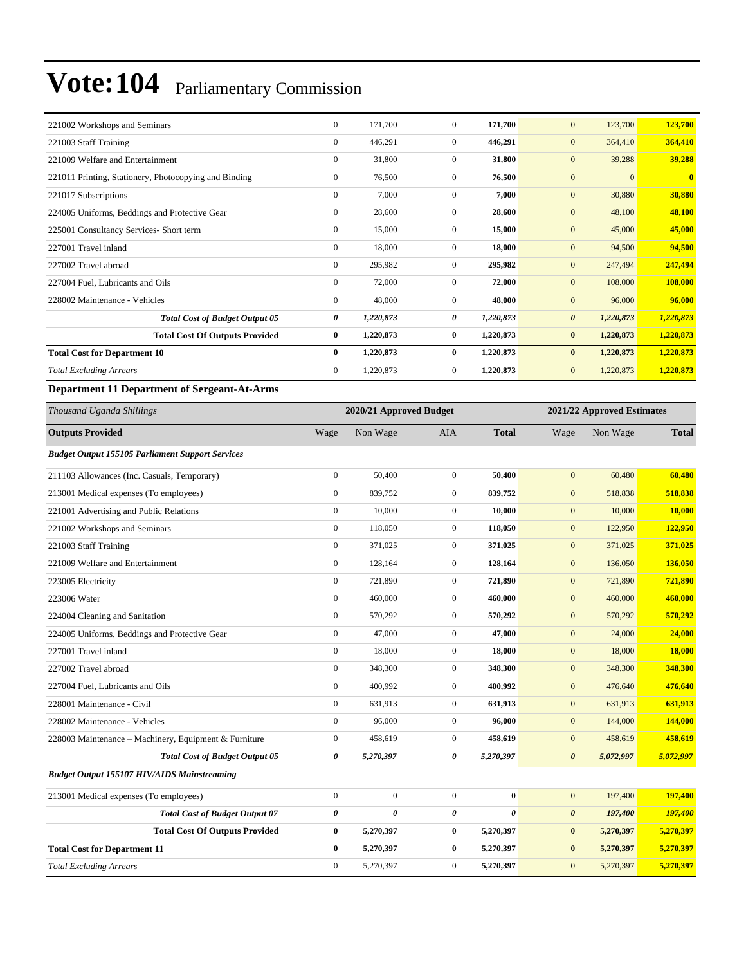| 221002 Workshops and Seminars                         | $\mathbf{0}$     | 171,700   | $\Omega$       | 171,700   | 123,700<br>$\mathbf{0}$            | 123,700                 |
|-------------------------------------------------------|------------------|-----------|----------------|-----------|------------------------------------|-------------------------|
| 221003 Staff Training                                 | $\mathbf{0}$     | 446,291   | $\overline{0}$ | 446,291   | $\mathbf{0}$<br>364,410            | 364,410                 |
| 221009 Welfare and Entertainment                      | $\mathbf{0}$     | 31,800    | $\Omega$       | 31,800    | 39,288<br>$\mathbf{0}$             | 39,288                  |
| 221011 Printing, Stationery, Photocopying and Binding | $\boldsymbol{0}$ | 76,500    | $\overline{0}$ | 76,500    | $\mathbf{0}$<br>$\mathbf{0}$       | $\overline{\mathbf{0}}$ |
| 221017 Subscriptions                                  | $\mathbf{0}$     | 7,000     | $\overline{0}$ | 7,000     | $\mathbf{0}$<br>30,880             | 30,880                  |
| 224005 Uniforms, Beddings and Protective Gear         | $\mathbf{0}$     | 28,600    | $\overline{0}$ | 28,600    | $\mathbf{0}$<br>48,100             | 48,100                  |
| 225001 Consultancy Services- Short term               | $\mathbf{0}$     | 15,000    | $\overline{0}$ | 15,000    | $\mathbf{0}$<br>45,000             | 45,000                  |
| 227001 Travel inland                                  | $\mathbf{0}$     | 18,000    | $\Omega$       | 18,000    | $\mathbf{0}$<br>94,500             | 94,500                  |
| 227002 Travel abroad                                  | $\mathbf{0}$     | 295,982   | $\Omega$       | 295,982   | $\mathbf{0}$<br>247,494            | 247,494                 |
| 227004 Fuel, Lubricants and Oils                      | $\mathbf{0}$     | 72,000    | $\Omega$       | 72,000    | $\mathbf{0}$<br>108,000            | 108,000                 |
| 228002 Maintenance - Vehicles                         | $\mathbf{0}$     | 48,000    | $\overline{0}$ | 48,000    | $\mathbf{0}$<br>96,000             | 96,000                  |
| <b>Total Cost of Budget Output 05</b>                 | 0                | 1,220,873 | 0              | 1,220,873 | $\boldsymbol{\theta}$<br>1,220,873 | 1,220,873               |
| <b>Total Cost Of Outputs Provided</b>                 | $\bf{0}$         | 1,220,873 | $\bf{0}$       | 1,220,873 | $\bf{0}$<br>1,220,873              | 1,220,873               |
| <b>Total Cost for Department 10</b>                   | $\bf{0}$         | 1,220,873 | $\bf{0}$       | 1,220,873 | $\bf{0}$<br>1,220,873              | 1,220,873               |
| <b>Total Excluding Arrears</b>                        | $\mathbf{0}$     | 1,220,873 | $\overline{0}$ | 1,220,873 | $\mathbf{0}$<br>1,220,873          | 1,220,873               |

#### **Department 11 Department of Sergeant-At-Arms**

| Thousand Uganda Shillings                               | 2020/21 Approved Budget |                       |                  |                       | 2021/22 Approved Estimates |           |              |  |
|---------------------------------------------------------|-------------------------|-----------------------|------------------|-----------------------|----------------------------|-----------|--------------|--|
| <b>Outputs Provided</b>                                 | Wage                    | Non Wage              | <b>AIA</b>       | <b>Total</b>          | Wage                       | Non Wage  | <b>Total</b> |  |
| <b>Budget Output 155105 Parliament Support Services</b> |                         |                       |                  |                       |                            |           |              |  |
| 211103 Allowances (Inc. Casuals, Temporary)             | $\boldsymbol{0}$        | 50,400                | $\mathbf{0}$     | 50,400                | $\mathbf{0}$               | 60,480    | 60,480       |  |
| 213001 Medical expenses (To employees)                  | $\boldsymbol{0}$        | 839,752               | $\boldsymbol{0}$ | 839,752               | $\boldsymbol{0}$           | 518,838   | 518,838      |  |
| 221001 Advertising and Public Relations                 | $\boldsymbol{0}$        | 10,000                | $\mathbf{0}$     | 10,000                | $\mathbf{0}$               | 10,000    | 10,000       |  |
| 221002 Workshops and Seminars                           | $\mathbf{0}$            | 118,050               | $\overline{0}$   | 118,050               | $\mathbf{0}$               | 122,950   | 122,950      |  |
| 221003 Staff Training                                   | $\boldsymbol{0}$        | 371,025               | $\mathbf{0}$     | 371,025               | $\boldsymbol{0}$           | 371,025   | 371,025      |  |
| 221009 Welfare and Entertainment                        | $\boldsymbol{0}$        | 128,164               | $\boldsymbol{0}$ | 128,164               | $\mathbf{0}$               | 136,050   | 136,050      |  |
| 223005 Electricity                                      | $\boldsymbol{0}$        | 721,890               | $\boldsymbol{0}$ | 721,890               | $\mathbf{0}$               | 721,890   | 721,890      |  |
| 223006 Water                                            | $\boldsymbol{0}$        | 460,000               | $\overline{0}$   | 460,000               | $\boldsymbol{0}$           | 460,000   | 460,000      |  |
| 224004 Cleaning and Sanitation                          | $\mathbf{0}$            | 570,292               | $\mathbf{0}$     | 570,292               | $\boldsymbol{0}$           | 570,292   | 570,292      |  |
| 224005 Uniforms, Beddings and Protective Gear           | $\mathbf{0}$            | 47,000                | $\mathbf{0}$     | 47,000                | $\mathbf{0}$               | 24,000    | 24,000       |  |
| 227001 Travel inland                                    | $\mathbf{0}$            | 18,000                | $\mathbf{0}$     | 18,000                | $\mathbf{0}$               | 18,000    | 18,000       |  |
| 227002 Travel abroad                                    | $\boldsymbol{0}$        | 348,300               | $\boldsymbol{0}$ | 348,300               | $\boldsymbol{0}$           | 348,300   | 348,300      |  |
| 227004 Fuel, Lubricants and Oils                        | $\boldsymbol{0}$        | 400,992               | $\overline{0}$   | 400,992               | $\mathbf{0}$               | 476,640   | 476,640      |  |
| 228001 Maintenance - Civil                              | $\mathbf{0}$            | 631.913               | $\overline{0}$   | 631,913               | $\mathbf{0}$               | 631,913   | 631,913      |  |
| 228002 Maintenance - Vehicles                           | $\boldsymbol{0}$        | 96,000                | $\overline{0}$   | 96,000                | $\mathbf{0}$               | 144,000   | 144,000      |  |
| 228003 Maintenance - Machinery, Equipment & Furniture   | $\boldsymbol{0}$        | 458,619               | $\overline{0}$   | 458,619               | $\mathbf{0}$               | 458,619   | 458,619      |  |
| <b>Total Cost of Budget Output 05</b>                   | 0                       | 5,270,397             | 0                | 5,270,397             | $\boldsymbol{\theta}$      | 5,072,997 | 5,072,997    |  |
| <b>Budget Output 155107 HIV/AIDS Mainstreaming</b>      |                         |                       |                  |                       |                            |           |              |  |
| 213001 Medical expenses (To employees)                  | $\boldsymbol{0}$        | $\mathbf{0}$          | $\mathbf{0}$     | $\bf{0}$              | $\mathbf{0}$               | 197,400   | 197,400      |  |
| <b>Total Cost of Budget Output 07</b>                   | $\boldsymbol{\theta}$   | $\boldsymbol{\theta}$ | $\theta$         | $\boldsymbol{\theta}$ | $\boldsymbol{\theta}$      | 197,400   | 197,400      |  |
| <b>Total Cost Of Outputs Provided</b>                   | $\bf{0}$                | 5,270,397             | $\bf{0}$         | 5,270,397             | $\bf{0}$                   | 5,270,397 | 5,270,397    |  |
| <b>Total Cost for Department 11</b>                     | $\bf{0}$                | 5,270,397             | $\bf{0}$         | 5,270,397             | $\bf{0}$                   | 5,270,397 | 5,270,397    |  |
| <b>Total Excluding Arrears</b>                          | $\mathbf{0}$            | 5,270,397             | $\mathbf{0}$     | 5,270,397             | $\mathbf{0}$               | 5,270,397 | 5,270,397    |  |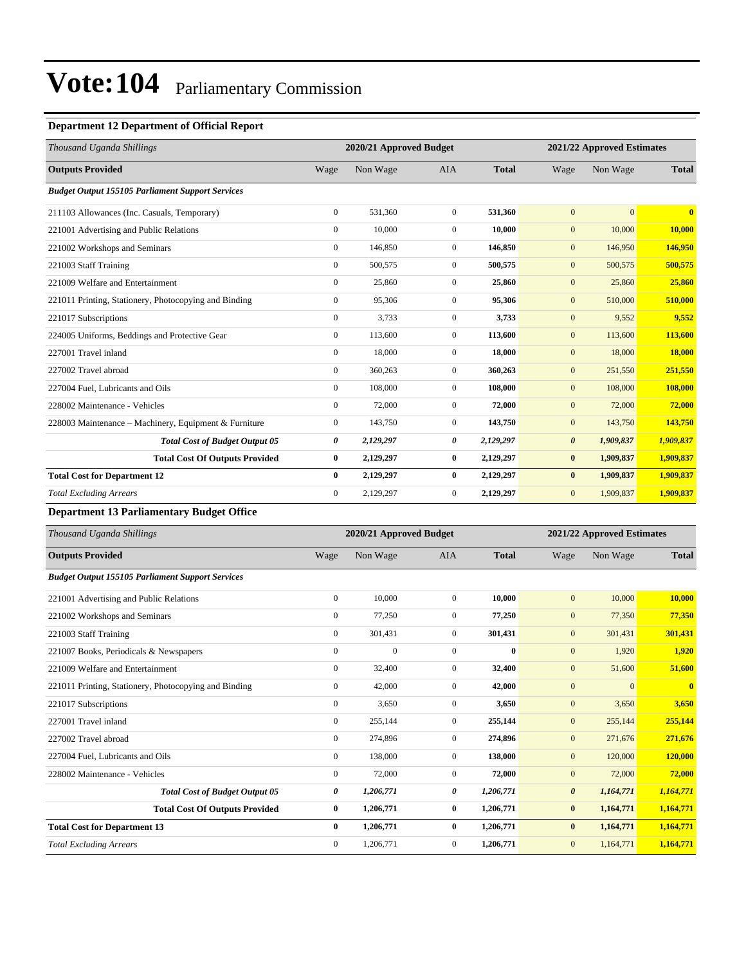### **Department 12 Department of Official Report**

| Thousand Uganda Shillings                               |                  | 2020/21 Approved Budget |                | 2021/22 Approved Estimates |                       |              |               |
|---------------------------------------------------------|------------------|-------------------------|----------------|----------------------------|-----------------------|--------------|---------------|
| <b>Outputs Provided</b>                                 | Wage             | Non Wage                | <b>AIA</b>     | <b>Total</b>               | Wage                  | Non Wage     | <b>Total</b>  |
| <b>Budget Output 155105 Parliament Support Services</b> |                  |                         |                |                            |                       |              |               |
| 211103 Allowances (Inc. Casuals, Temporary)             | $\boldsymbol{0}$ | 531,360                 | $\mathbf{0}$   | 531,360                    | $\mathbf{0}$          | $\mathbf{0}$ | $\mathbf{0}$  |
| 221001 Advertising and Public Relations                 | $\mathbf{0}$     | 10,000                  | $\overline{0}$ | 10,000                     | $\mathbf{0}$          | 10,000       | 10,000        |
| 221002 Workshops and Seminars                           | $\mathbf{0}$     | 146,850                 | $\overline{0}$ | 146,850                    | $\mathbf{0}$          | 146,950      | 146,950       |
| 221003 Staff Training                                   | $\mathbf{0}$     | 500,575                 | $\Omega$       | 500,575                    | $\mathbf{0}$          | 500,575      | 500,575       |
| 221009 Welfare and Entertainment                        | $\boldsymbol{0}$ | 25,860                  | $\mathbf{0}$   | 25,860                     | $\mathbf{0}$          | 25,860       | 25,860        |
| 221011 Printing, Stationery, Photocopying and Binding   | $\mathbf{0}$     | 95,306                  | $\mathbf{0}$   | 95,306                     | $\mathbf{0}$          | 510,000      | 510,000       |
| 221017 Subscriptions                                    | $\mathbf{0}$     | 3,733                   | $\overline{0}$ | 3,733                      | $\mathbf{0}$          | 9,552        | 9,552         |
| 224005 Uniforms, Beddings and Protective Gear           | $\mathbf{0}$     | 113,600                 | $\mathbf{0}$   | 113,600                    | $\mathbf{0}$          | 113,600      | 113,600       |
| 227001 Travel inland                                    | $\mathbf{0}$     | 18,000                  | $\overline{0}$ | 18.000                     | $\mathbf{0}$          | 18,000       | <b>18,000</b> |
| 227002 Travel abroad                                    | $\overline{0}$   | 360,263                 | $\mathbf{0}$   | 360,263                    | $\mathbf{0}$          | 251,550      | 251,550       |
| 227004 Fuel, Lubricants and Oils                        | $\mathbf{0}$     | 108,000                 | $\overline{0}$ | 108,000                    | $\mathbf{0}$          | 108,000      | 108,000       |
| 228002 Maintenance - Vehicles                           | $\overline{0}$   | 72,000                  | $\overline{0}$ | 72,000                     | $\mathbf{0}$          | 72,000       | 72,000        |
| 228003 Maintenance – Machinery, Equipment & Furniture   | $\mathbf{0}$     | 143,750                 | $\overline{0}$ | 143,750                    | $\mathbf{0}$          | 143,750      | 143,750       |
| <b>Total Cost of Budget Output 05</b>                   | 0                | 2,129,297               | 0              | 2,129,297                  | $\boldsymbol{\theta}$ | 1,909,837    | 1,909,837     |
| <b>Total Cost Of Outputs Provided</b>                   | $\bf{0}$         | 2,129,297               | $\bf{0}$       | 2,129,297                  | $\bf{0}$              | 1,909,837    | 1,909,837     |
| <b>Total Cost for Department 12</b>                     | $\bf{0}$         | 2,129,297               | $\bf{0}$       | 2,129,297                  | $\bf{0}$              | 1,909,837    | 1,909,837     |
| <b>Total Excluding Arrears</b>                          | $\mathbf{0}$     | 2,129,297               | $\mathbf{0}$   | 2,129,297                  | $\mathbf{0}$          | 1,909,837    | 1,909,837     |

### **Department 13 Parliamentary Budget Office**

| Thousand Uganda Shillings                               |              | 2020/21 Approved Budget |                | 2021/22 Approved Estimates |                       |                |                         |
|---------------------------------------------------------|--------------|-------------------------|----------------|----------------------------|-----------------------|----------------|-------------------------|
| <b>Outputs Provided</b>                                 | Wage         | Non Wage                | <b>AIA</b>     | <b>Total</b>               | Wage                  | Non Wage       | <b>Total</b>            |
| <b>Budget Output 155105 Parliament Support Services</b> |              |                         |                |                            |                       |                |                         |
| 221001 Advertising and Public Relations                 | $\mathbf{0}$ | 10.000                  | $\Omega$       | 10.000                     | $\mathbf{0}$          | 10,000         | 10,000                  |
| 221002 Workshops and Seminars                           | $\mathbf{0}$ | 77,250                  | $\overline{0}$ | 77,250                     | $\mathbf{0}$          | 77,350         | 77,350                  |
| 221003 Staff Training                                   | $\mathbf{0}$ | 301,431                 | $\overline{0}$ | 301,431                    | $\mathbf{0}$          | 301,431        | 301,431                 |
| 221007 Books, Periodicals & Newspapers                  | $\mathbf{0}$ | $\mathbf{0}$            | $\Omega$       | $\mathbf{0}$               | $\mathbf{0}$          | 1,920          | 1,920                   |
| 221009 Welfare and Entertainment                        | $\mathbf{0}$ | 32,400                  | $\overline{0}$ | 32,400                     | $\mathbf{0}$          | 51,600         | 51,600                  |
| 221011 Printing, Stationery, Photocopying and Binding   | $\mathbf{0}$ | 42,000                  | $\overline{0}$ | 42,000                     | $\mathbf{0}$          | $\overline{0}$ | $\overline{\mathbf{0}}$ |
| 221017 Subscriptions                                    | $\mathbf{0}$ | 3,650                   | $\overline{0}$ | 3,650                      | $\mathbf{0}$          | 3,650          | 3,650                   |
| 227001 Travel inland                                    | $\mathbf{0}$ | 255,144                 | $\overline{0}$ | 255,144                    | $\mathbf{0}$          | 255,144        | 255,144                 |
| 227002 Travel abroad                                    | $\mathbf{0}$ | 274,896                 | $\overline{0}$ | 274,896                    | $\mathbf{0}$          | 271,676        | 271,676                 |
| 227004 Fuel, Lubricants and Oils                        | $\mathbf{0}$ | 138,000                 | $\Omega$       | 138,000                    | $\mathbf{0}$          | 120,000        | 120,000                 |
| 228002 Maintenance - Vehicles                           | $\mathbf{0}$ | 72,000                  | $\overline{0}$ | 72,000                     | $\mathbf{0}$          | 72,000         | 72,000                  |
| <b>Total Cost of Budget Output 05</b>                   | 0            | 1,206,771               | 0              | 1,206,771                  | $\boldsymbol{\theta}$ | 1,164,771      | 1,164,771               |
| <b>Total Cost Of Outputs Provided</b>                   | $\bf{0}$     | 1,206,771               | $\bf{0}$       | 1,206,771                  | $\bf{0}$              | 1,164,771      | 1,164,771               |
| <b>Total Cost for Department 13</b>                     | $\bf{0}$     | 1,206,771               | $\bf{0}$       | 1,206,771                  | $\bf{0}$              | 1,164,771      | 1,164,771               |
| <b>Total Excluding Arrears</b>                          | $\mathbf{0}$ | 1,206,771               | $\overline{0}$ | 1,206,771                  | $\boldsymbol{0}$      | 1,164,771      | 1,164,771               |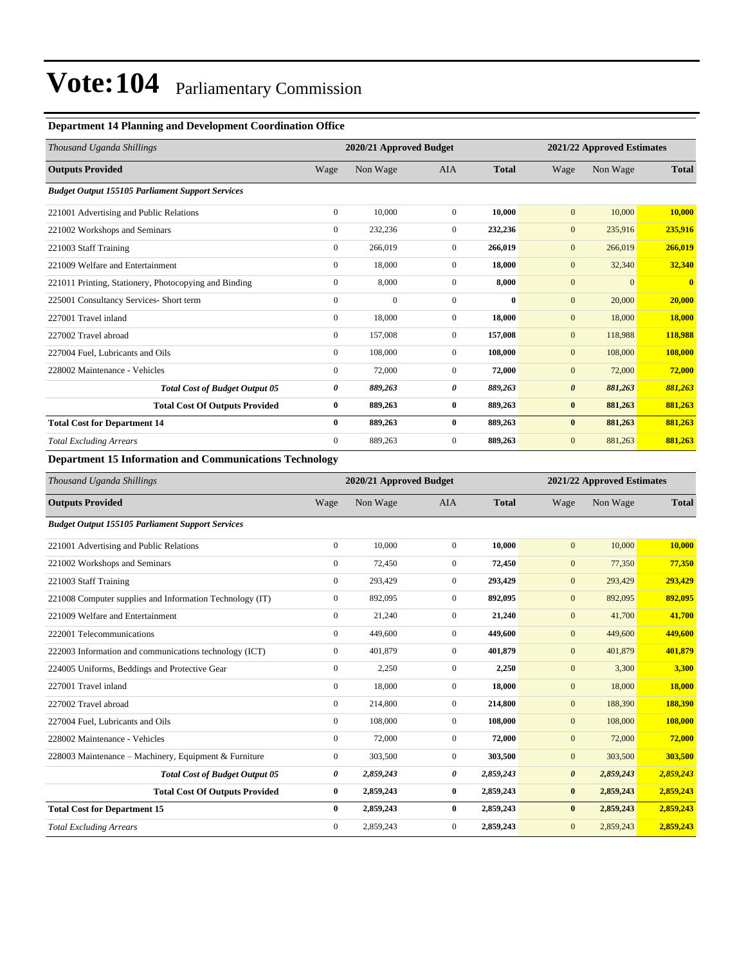#### **Department 14 Planning and Development Coordination Office**

| Thousand Uganda Shillings                               |                | 2020/21 Approved Budget |                |              | 2021/22 Approved Estimates |              |              |
|---------------------------------------------------------|----------------|-------------------------|----------------|--------------|----------------------------|--------------|--------------|
| <b>Outputs Provided</b>                                 | Wage           | Non Wage                | <b>AIA</b>     | <b>Total</b> | Wage                       | Non Wage     | <b>Total</b> |
| <b>Budget Output 155105 Parliament Support Services</b> |                |                         |                |              |                            |              |              |
| 221001 Advertising and Public Relations                 | $\overline{0}$ | 10,000                  | $\overline{0}$ | 10,000       | $\mathbf{0}$               | 10,000       | 10,000       |
| 221002 Workshops and Seminars                           | $\overline{0}$ | 232,236                 | $\mathbf{0}$   | 232,236      | $\mathbf{0}$               | 235,916      | 235,916      |
| 221003 Staff Training                                   | $\overline{0}$ | 266,019                 | $\overline{0}$ | 266,019      | $\mathbf{0}$               | 266,019      | 266,019      |
| 221009 Welfare and Entertainment                        | $\overline{0}$ | 18,000                  | $\mathbf{0}$   | 18,000       | $\mathbf{0}$               | 32,340       | 32,340       |
| 221011 Printing, Stationery, Photocopying and Binding   | $\mathbf{0}$   | 8,000                   | $\mathbf{0}$   | 8,000        | $\mathbf{0}$               | $\mathbf{0}$ | $\mathbf{0}$ |
| 225001 Consultancy Services- Short term                 | $\mathbf{0}$   | $\Omega$                | $\Omega$       | $\mathbf{0}$ | $\mathbf{0}$               | 20,000       | 20,000       |
| 227001 Travel inland                                    | $\mathbf{0}$   | 18,000                  | $\Omega$       | 18.000       | $\mathbf{0}$               | 18,000       | 18,000       |
| 227002 Travel abroad                                    | $\mathbf{0}$   | 157,008                 | $\Omega$       | 157,008      | $\mathbf{0}$               | 118,988      | 118,988      |
| 227004 Fuel, Lubricants and Oils                        | $\mathbf{0}$   | 108,000                 | $\overline{0}$ | 108,000      | $\mathbf{0}$               | 108,000      | 108,000      |
| 228002 Maintenance - Vehicles                           | $\mathbf{0}$   | 72,000                  | $\mathbf{0}$   | 72,000       | $\mathbf{0}$               | 72,000       | 72,000       |
| <b>Total Cost of Budget Output 05</b>                   | 0              | 889,263                 | 0              | 889,263      | $\boldsymbol{\theta}$      | 881,263      | 881,263      |
| <b>Total Cost Of Outputs Provided</b>                   | $\bf{0}$       | 889,263                 | $\bf{0}$       | 889,263      | $\bf{0}$                   | 881,263      | 881,263      |
| <b>Total Cost for Department 14</b>                     | $\bf{0}$       | 889,263                 | $\bf{0}$       | 889,263      | $\bf{0}$                   | 881,263      | 881,263      |
| <b>Total Excluding Arrears</b>                          | $\mathbf{0}$   | 889,263                 | $\overline{0}$ | 889,263      | $\mathbf{0}$               | 881,263      | 881,263      |

#### **Department 15 Information and Communications Technology**

| Thousand Uganda Shillings                                | 2020/21 Approved Budget |           |                |              | 2021/22 Approved Estimates |           |              |  |
|----------------------------------------------------------|-------------------------|-----------|----------------|--------------|----------------------------|-----------|--------------|--|
| <b>Outputs Provided</b>                                  | Wage                    | Non Wage  | <b>AIA</b>     | <b>Total</b> | Wage                       | Non Wage  | <b>Total</b> |  |
| <b>Budget Output 155105 Parliament Support Services</b>  |                         |           |                |              |                            |           |              |  |
| 221001 Advertising and Public Relations                  | $\mathbf{0}$            | 10,000    | $\mathbf{0}$   | 10,000       | $\mathbf{0}$               | 10,000    | 10,000       |  |
| 221002 Workshops and Seminars                            | $\mathbf{0}$            | 72,450    | $\overline{0}$ | 72,450       | $\mathbf{0}$               | 77,350    | 77,350       |  |
| 221003 Staff Training                                    | $\mathbf{0}$            | 293,429   | $\overline{0}$ | 293,429      | $\mathbf{0}$               | 293,429   | 293,429      |  |
| 221008 Computer supplies and Information Technology (IT) | $\mathbf{0}$            | 892,095   | $\overline{0}$ | 892,095      | $\overline{0}$             | 892,095   | 892,095      |  |
| 221009 Welfare and Entertainment                         | $\mathbf{0}$            | 21,240    | $\mathbf{0}$   | 21,240       | $\mathbf{0}$               | 41,700    | 41,700       |  |
| 222001 Telecommunications                                | $\mathbf{0}$            | 449,600   | $\overline{0}$ | 449,600      | $\mathbf{0}$               | 449,600   | 449,600      |  |
| 222003 Information and communications technology (ICT)   | $\Omega$                | 401,879   | $\Omega$       | 401,879      | $\mathbf{0}$               | 401,879   | 401,879      |  |
| 224005 Uniforms, Beddings and Protective Gear            | $\mathbf{0}$            | 2,250     | $\overline{0}$ | 2,250        | $\mathbf{0}$               | 3,300     | 3,300        |  |
| 227001 Travel inland                                     | $\overline{0}$          | 18,000    | $\mathbf{0}$   | 18,000       | $\mathbf{0}$               | 18,000    | 18,000       |  |
| 227002 Travel abroad                                     | $\mathbf{0}$            | 214,800   | $\mathbf{0}$   | 214,800      | $\mathbf{0}$               | 188,390   | 188,390      |  |
| 227004 Fuel, Lubricants and Oils                         | $\mathbf{0}$            | 108,000   | $\overline{0}$ | 108,000      | $\mathbf{0}$               | 108,000   | 108,000      |  |
| 228002 Maintenance - Vehicles                            | $\mathbf{0}$            | 72,000    | $\overline{0}$ | 72,000       | $\mathbf{0}$               | 72,000    | 72,000       |  |
| 228003 Maintenance - Machinery, Equipment & Furniture    | $\mathbf{0}$            | 303,500   | $\overline{0}$ | 303,500      | $\mathbf{0}$               | 303,500   | 303,500      |  |
| <b>Total Cost of Budget Output 05</b>                    | 0                       | 2,859,243 | 0              | 2,859,243    | $\boldsymbol{\theta}$      | 2,859,243 | 2,859,243    |  |
| <b>Total Cost Of Outputs Provided</b>                    | $\bf{0}$                | 2,859,243 | $\bf{0}$       | 2,859,243    | $\bf{0}$                   | 2,859,243 | 2,859,243    |  |
| <b>Total Cost for Department 15</b>                      | $\bf{0}$                | 2,859,243 | $\bf{0}$       | 2,859,243    | $\bf{0}$                   | 2,859,243 | 2,859,243    |  |
| <b>Total Excluding Arrears</b>                           | $\mathbf{0}$            | 2,859,243 | $\overline{0}$ | 2,859,243    | $\mathbf{0}$               | 2,859,243 | 2,859,243    |  |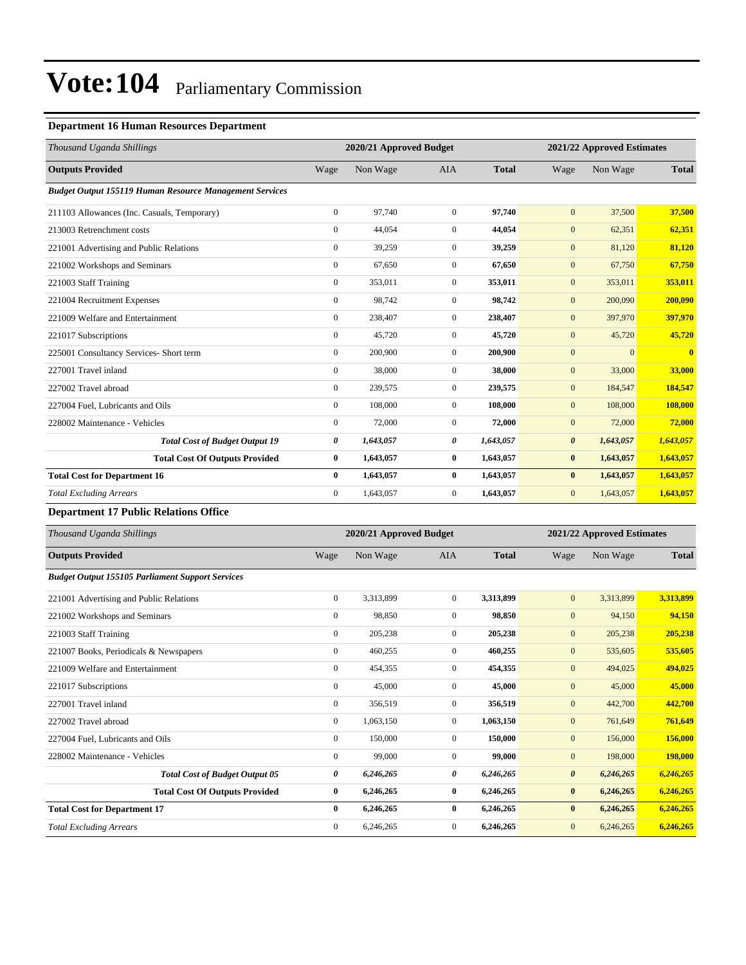### **Department 16 Human Resources Department**

| Thousand Uganda Shillings                                      |                  |           | 2020/21 Approved Budget |              |                       | 2021/22 Approved Estimates |                |  |
|----------------------------------------------------------------|------------------|-----------|-------------------------|--------------|-----------------------|----------------------------|----------------|--|
| <b>Outputs Provided</b>                                        | Wage             | Non Wage  | <b>AIA</b>              | <b>Total</b> | Wage                  | Non Wage                   | <b>Total</b>   |  |
| <b>Budget Output 155119 Human Resource Management Services</b> |                  |           |                         |              |                       |                            |                |  |
| 211103 Allowances (Inc. Casuals, Temporary)                    | $\mathbf{0}$     | 97,740    | $\overline{0}$          | 97,740       | $\mathbf{0}$          | 37,500                     | 37,500         |  |
| 213003 Retrenchment costs                                      | $\overline{0}$   | 44,054    | $\overline{0}$          | 44,054       | $\mathbf{0}$          | 62,351                     | 62,351         |  |
| 221001 Advertising and Public Relations                        | $\mathbf{0}$     | 39,259    | $\overline{0}$          | 39,259       | $\mathbf{0}$          | 81,120                     | 81,120         |  |
| 221002 Workshops and Seminars                                  | $\mathbf{0}$     | 67,650    | $\overline{0}$          | 67,650       | $\mathbf{0}$          | 67,750                     | 67,750         |  |
| 221003 Staff Training                                          | $\boldsymbol{0}$ | 353,011   | $\overline{0}$          | 353,011      | $\mathbf{0}$          | 353,011                    | 353,011        |  |
| 221004 Recruitment Expenses                                    | $\mathbf{0}$     | 98,742    | $\overline{0}$          | 98,742       | $\mathbf{0}$          | 200,090                    | 200,090        |  |
| 221009 Welfare and Entertainment                               | $\overline{0}$   | 238,407   | $\overline{0}$          | 238,407      | $\mathbf{0}$          | 397,970                    | 397,970        |  |
| 221017 Subscriptions                                           | $\overline{0}$   | 45,720    | $\overline{0}$          | 45,720       | $\mathbf{0}$          | 45,720                     | 45,720         |  |
| 225001 Consultancy Services- Short term                        | $\overline{0}$   | 200,900   | $\overline{0}$          | 200,900      | $\mathbf{0}$          | $\mathbf{0}$               | $\overline{0}$ |  |
| 227001 Travel inland                                           | $\overline{0}$   | 38,000    | $\mathbf{0}$            | 38,000       | $\mathbf{0}$          | 33,000                     | 33,000         |  |
| 227002 Travel abroad                                           | $\mathbf{0}$     | 239,575   | $\overline{0}$          | 239,575      | $\mathbf{0}$          | 184,547                    | 184,547        |  |
| 227004 Fuel, Lubricants and Oils                               | $\overline{0}$   | 108,000   | $\overline{0}$          | 108,000      | $\mathbf{0}$          | 108,000                    | 108,000        |  |
| 228002 Maintenance - Vehicles                                  | $\Omega$         | 72,000    | $\overline{0}$          | 72,000       | $\mathbf{0}$          | 72,000                     | 72,000         |  |
| <b>Total Cost of Budget Output 19</b>                          | 0                | 1,643,057 | 0                       | 1,643,057    | $\boldsymbol{\theta}$ | 1,643,057                  | 1,643,057      |  |
| <b>Total Cost Of Outputs Provided</b>                          | $\bf{0}$         | 1,643,057 | $\bf{0}$                | 1,643,057    | $\bf{0}$              | 1,643,057                  | 1,643,057      |  |
| <b>Total Cost for Department 16</b>                            | $\bf{0}$         | 1,643,057 | $\bf{0}$                | 1,643,057    | $\bf{0}$              | 1,643,057                  | 1,643,057      |  |
| <b>Total Excluding Arrears</b>                                 | $\mathbf{0}$     | 1,643,057 | $\mathbf{0}$            | 1,643,057    | $\mathbf{0}$          | 1,643,057                  | 1,643,057      |  |

### **Department 17 Public Relations Office**

| Thousand Uganda Shillings                               |                  | 2020/21 Approved Budget |                  | 2021/22 Approved Estimates |                       |           |              |
|---------------------------------------------------------|------------------|-------------------------|------------------|----------------------------|-----------------------|-----------|--------------|
| <b>Outputs Provided</b>                                 | Wage             | Non Wage                | <b>AIA</b>       | <b>Total</b>               | Wage                  | Non Wage  | <b>Total</b> |
| <b>Budget Output 155105 Parliament Support Services</b> |                  |                         |                  |                            |                       |           |              |
| 221001 Advertising and Public Relations                 | $\boldsymbol{0}$ | 3,313,899               | $\mathbf{0}$     | 3,313,899                  | $\mathbf{0}$          | 3,313,899 | 3,313,899    |
| 221002 Workshops and Seminars                           | $\mathbf{0}$     | 98,850                  | $\mathbf{0}$     | 98,850                     | $\mathbf{0}$          | 94,150    | 94,150       |
| 221003 Staff Training                                   | $\mathbf{0}$     | 205,238                 | $\mathbf{0}$     | 205,238                    | $\mathbf{0}$          | 205,238   | 205,238      |
| 221007 Books, Periodicals & Newspapers                  | $\mathbf{0}$     | 460,255                 | $\overline{0}$   | 460,255                    | $\mathbf{0}$          | 535,605   | 535,605      |
| 221009 Welfare and Entertainment                        | $\mathbf{0}$     | 454,355                 | $\overline{0}$   | 454,355                    | $\mathbf{0}$          | 494,025   | 494,025      |
| 221017 Subscriptions                                    | $\mathbf{0}$     | 45,000                  | $\mathbf{0}$     | 45,000                     | $\mathbf{0}$          | 45,000    | 45,000       |
| 227001 Travel inland                                    | $\mathbf{0}$     | 356,519                 | $\mathbf{0}$     | 356,519                    | $\mathbf{0}$          | 442,700   | 442,700      |
| 227002 Travel abroad                                    | $\boldsymbol{0}$ | 1,063,150               | $\mathbf{0}$     | 1,063,150                  | $\mathbf{0}$          | 761,649   | 761,649      |
| 227004 Fuel, Lubricants and Oils                        | $\boldsymbol{0}$ | 150,000                 | $\boldsymbol{0}$ | 150,000                    | $\mathbf{0}$          | 156,000   | 156,000      |
| 228002 Maintenance - Vehicles                           | $\mathbf{0}$     | 99,000                  | $\mathbf{0}$     | 99,000                     | $\mathbf{0}$          | 198,000   | 198,000      |
| <b>Total Cost of Budget Output 05</b>                   | 0                | 6,246,265               | 0                | 6,246,265                  | $\boldsymbol{\theta}$ | 6,246,265 | 6,246,265    |
| <b>Total Cost Of Outputs Provided</b>                   | $\bf{0}$         | 6,246,265               | 0                | 6,246,265                  | $\bf{0}$              | 6,246,265 | 6,246,265    |
| <b>Total Cost for Department 17</b>                     | $\mathbf{0}$     | 6,246,265               | $\mathbf{0}$     | 6,246,265                  | $\bf{0}$              | 6,246,265 | 6,246,265    |
| <b>Total Excluding Arrears</b>                          | $\mathbf{0}$     | 6,246,265               | $\mathbf{0}$     | 6,246,265                  | $\mathbf{0}$          | 6,246,265 | 6,246,265    |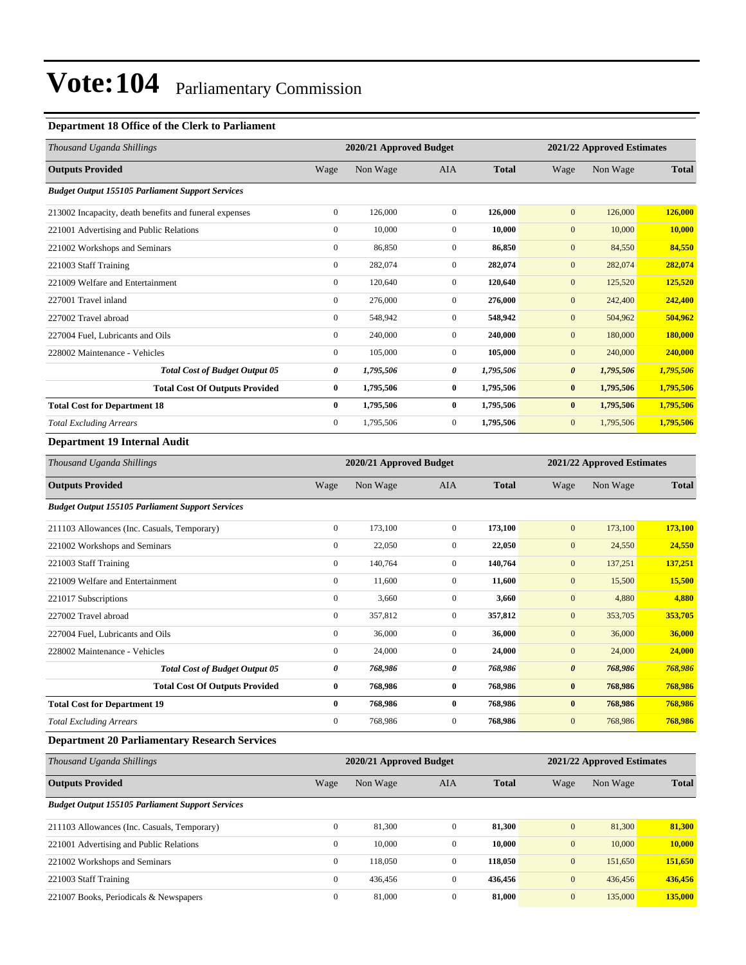### **Department 18 Office of the Clerk to Parliament**

| Thousand Uganda Shillings                               |                  | 2020/21 Approved Budget |                |              |                       | 2021/22 Approved Estimates |              |
|---------------------------------------------------------|------------------|-------------------------|----------------|--------------|-----------------------|----------------------------|--------------|
| <b>Outputs Provided</b>                                 | Wage             | Non Wage                | <b>AIA</b>     | <b>Total</b> | Wage                  | Non Wage                   | <b>Total</b> |
| <b>Budget Output 155105 Parliament Support Services</b> |                  |                         |                |              |                       |                            |              |
| 213002 Incapacity, death benefits and funeral expenses  | $\boldsymbol{0}$ | 126,000                 | $\overline{0}$ | 126,000      | $\mathbf{0}$          | 126,000                    | 126,000      |
| 221001 Advertising and Public Relations                 | $\mathbf{0}$     | 10,000                  | $\mathbf{0}$   | 10,000       | $\mathbf{0}$          | 10,000                     | 10,000       |
| 221002 Workshops and Seminars                           | $\mathbf{0}$     | 86,850                  | $\mathbf{0}$   | 86,850       | $\mathbf{0}$          | 84,550                     | 84,550       |
| 221003 Staff Training                                   | $\mathbf{0}$     | 282,074                 | $\mathbf{0}$   | 282,074      | $\mathbf{0}$          | 282,074                    | 282,074      |
| 221009 Welfare and Entertainment                        | $\mathbf{0}$     | 120,640                 | $\overline{0}$ | 120,640      | $\mathbf{0}$          | 125,520                    | 125,520      |
| 227001 Travel inland                                    | $\boldsymbol{0}$ | 276,000                 | $\mathbf{0}$   | 276,000      | $\mathbf{0}$          | 242,400                    | 242,400      |
| 227002 Travel abroad                                    | $\mathbf{0}$     | 548,942                 | $\mathbf{0}$   | 548,942      | $\mathbf{0}$          | 504,962                    | 504,962      |
| 227004 Fuel, Lubricants and Oils                        | $\mathbf{0}$     | 240,000                 | $\overline{0}$ | 240,000      | $\mathbf{0}$          | 180,000                    | 180,000      |
| 228002 Maintenance - Vehicles                           | $\mathbf{0}$     | 105,000                 | $\mathbf{0}$   | 105,000      | $\mathbf{0}$          | 240,000                    | 240,000      |
| <b>Total Cost of Budget Output 05</b>                   | 0                | 1,795,506               | 0              | 1,795,506    | $\boldsymbol{\theta}$ | 1,795,506                  | 1,795,506    |
| <b>Total Cost Of Outputs Provided</b>                   | $\bf{0}$         | 1,795,506               | $\bf{0}$       | 1,795,506    | $\bf{0}$              | 1,795,506                  | 1,795,506    |
| <b>Total Cost for Department 18</b>                     | $\bf{0}$         | 1,795,506               | $\bf{0}$       | 1,795,506    | $\bf{0}$              | 1,795,506                  | 1,795,506    |
| <b>Total Excluding Arrears</b>                          | $\mathbf{0}$     | 1,795,506               | $\mathbf{0}$   | 1,795,506    | $\mathbf{0}$          | 1,795,506                  | 1,795,506    |
| <b>Department 19 Internal Audit</b>                     |                  |                         |                |              |                       |                            |              |
| Thousand Uganda Shillings                               |                  | 2020/21 Approved Budget |                |              |                       | 2021/22 Approved Estimates |              |
| <b>Outputs Provided</b>                                 | Wage             | Non Wage                | <b>AIA</b>     | <b>Total</b> | Wage                  | Non Wage                   | <b>Total</b> |
| <b>Budget Output 155105 Parliament Support Services</b> |                  |                         |                |              |                       |                            |              |
| 211103 Allowances (Inc. Casuals, Temporary)             | $\boldsymbol{0}$ | 173,100                 | $\mathbf{0}$   | 173,100      | $\mathbf{0}$          | 173,100                    | 173,100      |
|                                                         |                  |                         |                |              |                       |                            |              |

| $\mathbf{0}$ | 22,050  | $\mathbf{0}$   | 22,050  | $\mathbf{0}$          | 24,550                                                                                                          |
|--------------|---------|----------------|---------|-----------------------|-----------------------------------------------------------------------------------------------------------------|
| $\mathbf{0}$ | 140,764 | $\mathbf{0}$   | 140,764 | $\mathbf{0}$          | 137,251                                                                                                         |
| $\mathbf{0}$ | 11,600  | $\mathbf{0}$   | 11,600  | $\mathbf{0}$          | 15,500                                                                                                          |
| $\mathbf{0}$ | 3,660   | $\mathbf{0}$   | 3,660   | $\mathbf{0}$          | 4,880                                                                                                           |
| $\mathbf{0}$ | 357,812 | $\mathbf{0}$   | 357,812 | $\mathbf{0}$          | 353,705                                                                                                         |
| $\mathbf{0}$ | 36,000  | $\mathbf{0}$   | 36,000  | $\mathbf{0}$          | 36,000                                                                                                          |
| $\mathbf{0}$ | 24,000  | $\overline{0}$ | 24,000  | $\mathbf{0}$          | 24,000                                                                                                          |
| 0            | 768,986 | 0              | 768,986 | $\boldsymbol{\theta}$ | 768,986                                                                                                         |
| $\bf{0}$     | 768,986 | $\bf{0}$       | 768,986 | $\bf{0}$              | 768,986                                                                                                         |
| $\bf{0}$     | 768,986 | $\mathbf{0}$   | 768,986 | $\bf{0}$              | 768.986                                                                                                         |
| $\mathbf{0}$ | 768,986 | $\Omega$       | 768,986 | $\mathbf{0}$          | 768,986                                                                                                         |
|              |         |                |         |                       | 24,550<br>137,251<br>15,500<br>4,880<br>353,705<br>36,000<br>24,000<br>768,986<br>768,986<br>768,986<br>768,986 |

#### **Department 20 Parliamentary Research Services**

| Thousand Uganda Shillings                               |              | 2020/21 Approved Budget |                | 2021/22 Approved Estimates |              |          |              |
|---------------------------------------------------------|--------------|-------------------------|----------------|----------------------------|--------------|----------|--------------|
| <b>Outputs Provided</b>                                 | Wage         | Non Wage                | AIA            | <b>Total</b>               | Wage         | Non Wage | <b>Total</b> |
| <b>Budget Output 155105 Parliament Support Services</b> |              |                         |                |                            |              |          |              |
| 211103 Allowances (Inc. Casuals, Temporary)             | $\mathbf{0}$ | 81.300                  | $\overline{0}$ | 81.300                     | $\mathbf{0}$ | 81,300   | 81,300       |
| 221001 Advertising and Public Relations                 | $\mathbf{0}$ | 10,000                  | $\mathbf{0}$   | 10.000                     | $\mathbf{0}$ | 10,000   | 10,000       |
| 221002 Workshops and Seminars                           | $\mathbf{0}$ | 118,050                 | $\mathbf{0}$   | 118,050                    | $\mathbf{0}$ | 151,650  | 151,650      |
| 221003 Staff Training                                   | $\mathbf{0}$ | 436,456                 | $\overline{0}$ | 436,456                    | $\mathbf{0}$ | 436,456  | 436,456      |
| 221007 Books, Periodicals & Newspapers                  | $\mathbf{0}$ | 81,000                  | $\overline{0}$ | 81.000                     | $\mathbf{0}$ | 135,000  | 135,000      |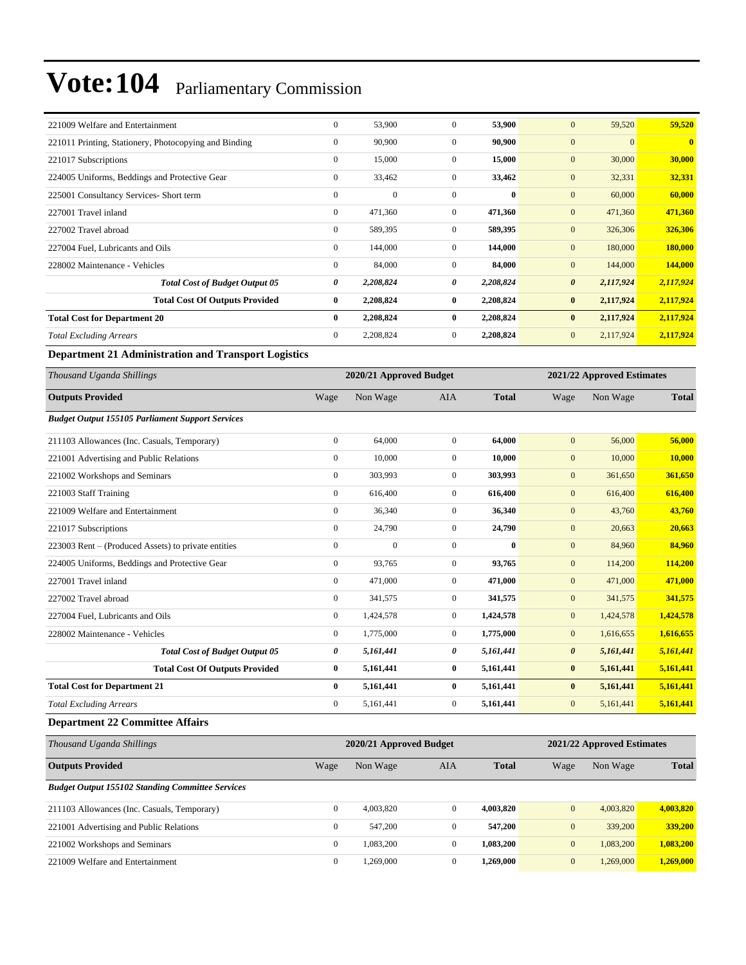| 221009 Welfare and Entertainment                      | $\mathbf{0}$ | 53,900    | $\mathbf{0}$   | 53,900       | $\boldsymbol{0}$<br>59,520         | 59,520                         |
|-------------------------------------------------------|--------------|-----------|----------------|--------------|------------------------------------|--------------------------------|
| 221011 Printing, Stationery, Photocopying and Binding | $\mathbf{0}$ | 90,900    | $\Omega$       | 90,900       | $\overline{0}$                     | $\overline{0}$<br>$\mathbf{0}$ |
| 221017 Subscriptions                                  | $\mathbf{0}$ | 15,000    | $\Omega$       | 15,000       | $\overline{0}$<br>30,000           | 30,000                         |
| 224005 Uniforms, Beddings and Protective Gear         | $\mathbf{0}$ | 33,462    | $\mathbf{0}$   | 33,462       | $\mathbf{0}$<br>32,331             | 32,331                         |
| 225001 Consultancy Services- Short term               | $\mathbf{0}$ | $\theta$  | $\Omega$       | $\mathbf{0}$ | $\overline{0}$<br>60,000           | 60,000                         |
| 227001 Travel inland                                  | $\mathbf{0}$ | 471,360   | $\Omega$       | 471,360      | $\overline{0}$<br>471,360          | 471,360                        |
| 227002 Travel abroad                                  | $\mathbf{0}$ | 589,395   | $\mathbf{0}$   | 589,395      | $\overline{0}$<br>326,306          | 326,306                        |
| 227004 Fuel, Lubricants and Oils                      | $\mathbf{0}$ | 144,000   | $\overline{0}$ | 144,000      | $\overline{0}$<br>180,000          | 180,000                        |
| 228002 Maintenance - Vehicles                         | $\mathbf{0}$ | 84,000    | $\mathbf{0}$   | 84,000       | $\overline{0}$<br>144,000          | 144,000                        |
| <b>Total Cost of Budget Output 05</b>                 | 0            | 2,208,824 | 0              | 2,208,824    | $\boldsymbol{\theta}$<br>2,117,924 | 2,117,924                      |
| <b>Total Cost Of Outputs Provided</b>                 | $\bf{0}$     | 2,208,824 | $\mathbf{0}$   | 2,208,824    | $\bf{0}$<br>2,117,924              | 2,117,924                      |
| <b>Total Cost for Department 20</b>                   | $\bf{0}$     | 2,208,824 | 0              | 2,208,824    | $\bf{0}$<br>2,117,924              | 2,117,924                      |
| <b>Total Excluding Arrears</b>                        | $\mathbf{0}$ | 2,208,824 | $\Omega$       | 2,208,824    | $\mathbf{0}$<br>2,117,924          | 2,117,924                      |

**Department 21 Administration and Transport Logistics**

| Thousand Uganda Shillings                               |                  | 2020/21 Approved Budget |                |              |                       | 2021/22 Approved Estimates |              |  |
|---------------------------------------------------------|------------------|-------------------------|----------------|--------------|-----------------------|----------------------------|--------------|--|
| <b>Outputs Provided</b>                                 | Wage             | Non Wage                | <b>AIA</b>     | <b>Total</b> | Wage                  | Non Wage                   | <b>Total</b> |  |
| <b>Budget Output 155105 Parliament Support Services</b> |                  |                         |                |              |                       |                            |              |  |
| 211103 Allowances (Inc. Casuals, Temporary)             | $\mathbf{0}$     | 64,000                  | $\overline{0}$ | 64,000       | $\mathbf{0}$          | 56,000                     | 56,000       |  |
| 221001 Advertising and Public Relations                 | $\mathbf{0}$     | 10,000                  | $\overline{0}$ | 10,000       | $\mathbf{0}$          | 10,000                     | 10,000       |  |
| 221002 Workshops and Seminars                           | $\mathbf{0}$     | 303,993                 | $\overline{0}$ | 303,993      | $\mathbf{0}$          | 361,650                    | 361,650      |  |
| 221003 Staff Training                                   | $\mathbf{0}$     | 616,400                 | $\overline{0}$ | 616,400      | $\mathbf{0}$          | 616,400                    | 616,400      |  |
| 221009 Welfare and Entertainment                        | $\mathbf{0}$     | 36,340                  | $\overline{0}$ | 36,340       | $\mathbf{0}$          | 43,760                     | 43,760       |  |
| 221017 Subscriptions                                    | $\mathbf{0}$     | 24,790                  | $\overline{0}$ | 24,790       | $\mathbf{0}$          | 20,663                     | 20,663       |  |
| 223003 Rent – (Produced Assets) to private entities     | $\mathbf{0}$     | $\Omega$                | $\overline{0}$ | $\bf{0}$     | $\mathbf{0}$          | 84,960                     | 84,960       |  |
| 224005 Uniforms, Beddings and Protective Gear           | $\mathbf{0}$     | 93.765                  | $\overline{0}$ | 93,765       | $\mathbf{0}$          | 114,200                    | 114,200      |  |
| 227001 Travel inland                                    | $\mathbf{0}$     | 471,000                 | $\overline{0}$ | 471,000      | $\mathbf{0}$          | 471,000                    | 471,000      |  |
| 227002 Travel abroad                                    | $\mathbf{0}$     | 341,575                 | $\overline{0}$ | 341,575      | $\mathbf{0}$          | 341,575                    | 341,575      |  |
| 227004 Fuel, Lubricants and Oils                        | $\boldsymbol{0}$ | 1,424,578               | $\overline{0}$ | 1,424,578    | $\mathbf{0}$          | 1,424,578                  | 1,424,578    |  |
| 228002 Maintenance - Vehicles                           | $\mathbf{0}$     | 1,775,000               | $\overline{0}$ | 1,775,000    | $\mathbf{0}$          | 1,616,655                  | 1,616,655    |  |
| <b>Total Cost of Budget Output 05</b>                   | 0                | 5,161,441               | 0              | 5,161,441    | $\boldsymbol{\theta}$ | 5,161,441                  | 5,161,441    |  |
| <b>Total Cost Of Outputs Provided</b>                   | $\bf{0}$         | 5,161,441               | $\bf{0}$       | 5,161,441    | $\bf{0}$              | 5,161,441                  | 5,161,441    |  |
| <b>Total Cost for Department 21</b>                     | $\bf{0}$         | 5,161,441               | $\bf{0}$       | 5,161,441    | $\bf{0}$              | 5,161,441                  | 5,161,441    |  |
| <b>Total Excluding Arrears</b>                          | $\mathbf{0}$     | 5,161,441               | 0              | 5,161,441    | $\mathbf{0}$          | 5,161,441                  | 5,161,441    |  |
| <b>Department 22 Committee Affairs</b>                  |                  |                         |                |              |                       |                            |              |  |

| Thousand Uganda Shillings                               | 2020/21 Approved Budget |           |              |              |                  | 2021/22 Approved Estimates |              |  |  |
|---------------------------------------------------------|-------------------------|-----------|--------------|--------------|------------------|----------------------------|--------------|--|--|
| <b>Outputs Provided</b>                                 | Wage                    | Non Wage  | <b>AIA</b>   | <b>Total</b> | Wage             | Non Wage                   | <b>Total</b> |  |  |
| <b>Budget Output 155102 Standing Committee Services</b> |                         |           |              |              |                  |                            |              |  |  |
| 211103 Allowances (Inc. Casuals, Temporary)             | $\mathbf{0}$            | 4,003,820 | $\mathbf{0}$ | 4,003,820    | $\boldsymbol{0}$ | 4,003,820                  | 4,003,820    |  |  |
| 221001 Advertising and Public Relations                 | $\mathbf{0}$            | 547,200   | $\mathbf{0}$ | 547,200      | $\overline{0}$   | 339,200                    | 339,200      |  |  |
| 221002 Workshops and Seminars                           | $\mathbf{0}$            | .083.200  | $\mathbf{0}$ | 1.083.200    | $\mathbf{0}$     | 1,083,200                  | 1,083,200    |  |  |
| 221009 Welfare and Entertainment                        | $\mathbf{0}$            | .269.000  | 0            | 1.269.000    | $\mathbf{0}$     | 1.269,000                  | 1.269,000    |  |  |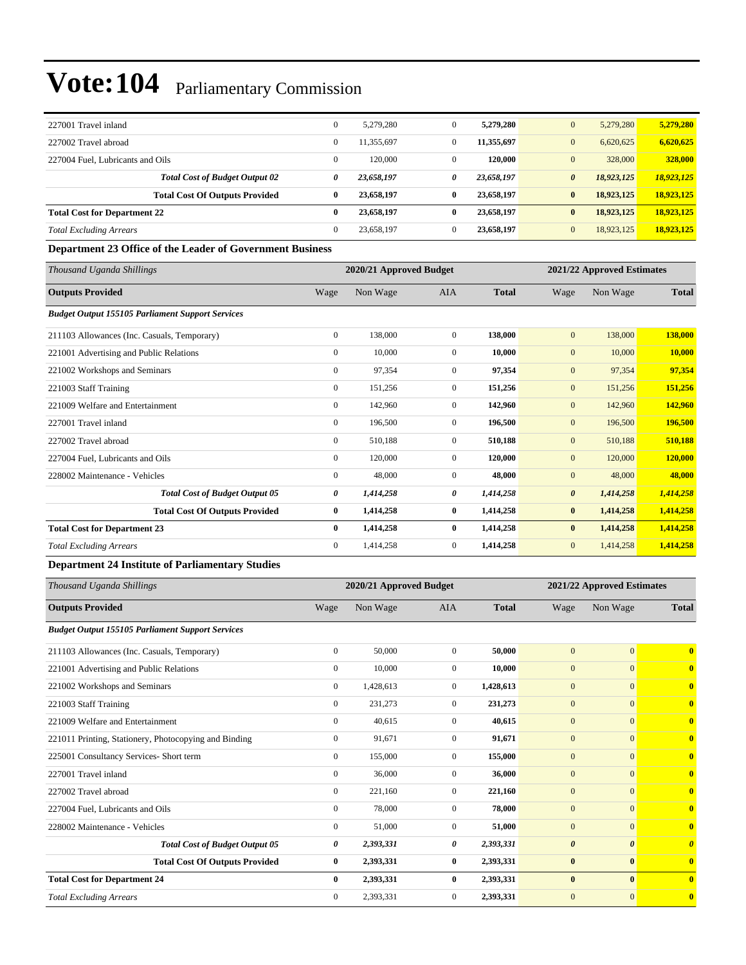| 227001 Travel inland                |                                       | $\mathbf{0}$ | 5.279.280  | $\mathbf{0}$ | 5,279,280  | 5.279.280<br>$\mathbf{0}$           | 5,279,280  |
|-------------------------------------|---------------------------------------|--------------|------------|--------------|------------|-------------------------------------|------------|
| 227002 Travel abroad                |                                       | $\mathbf{0}$ | 11.355.697 | $\mathbf{0}$ | 11,355,697 | $\mathbf{0}$<br>6,620,625           | 6,620,625  |
| 227004 Fuel. Lubricants and Oils    |                                       | $\mathbf{0}$ | 120,000    | $\Omega$     | 120,000    | 328,000<br>$\mathbf{0}$             | 328,000    |
|                                     | <b>Total Cost of Budget Output 02</b> | 0            | 23,658,197 | 0            | 23,658,197 | $\boldsymbol{\theta}$<br>18,923,125 | 18,923,125 |
|                                     | <b>Total Cost Of Outputs Provided</b> | 0            | 23,658,197 | $\bf{0}$     | 23,658,197 | 18,923,125<br>$\bf{0}$              | 18,923,125 |
| <b>Total Cost for Department 22</b> |                                       | 0            | 23,658,197 | $\bf{0}$     | 23,658,197 | 18,923,125<br>$\bf{0}$              | 18,923,125 |
| <b>Total Excluding Arrears</b>      |                                       | $\mathbf{0}$ | 23.658.197 | $\Omega$     | 23.658.197 | $\mathbf{0}$<br>18,923,125          | 18,923,125 |

#### **Department 23 Office of the Leader of Government Business**

| Thousand Uganda Shillings                               |                  | 2020/21 Approved Budget |                |              | 2021/22 Approved Estimates |           |              |
|---------------------------------------------------------|------------------|-------------------------|----------------|--------------|----------------------------|-----------|--------------|
| <b>Outputs Provided</b>                                 | Wage             | Non Wage                | <b>AIA</b>     | <b>Total</b> | Wage                       | Non Wage  | <b>Total</b> |
| <b>Budget Output 155105 Parliament Support Services</b> |                  |                         |                |              |                            |           |              |
| 211103 Allowances (Inc. Casuals, Temporary)             | $\overline{0}$   | 138,000                 | $\overline{0}$ | 138,000      | $\mathbf{0}$               | 138,000   | 138,000      |
| 221001 Advertising and Public Relations                 | $\mathbf{0}$     | 10,000                  | $\mathbf{0}$   | 10,000       | $\mathbf{0}$               | 10,000    | 10,000       |
| 221002 Workshops and Seminars                           | $\boldsymbol{0}$ | 97,354                  | $\overline{0}$ | 97,354       | $\mathbf{0}$               | 97,354    | 97,354       |
| 221003 Staff Training                                   | $\boldsymbol{0}$ | 151,256                 | $\mathbf{0}$   | 151,256      | $\mathbf{0}$               | 151,256   | 151,256      |
| 221009 Welfare and Entertainment                        | $\overline{0}$   | 142,960                 | $\overline{0}$ | 142,960      | $\mathbf{0}$               | 142,960   | 142,960      |
| 227001 Travel inland                                    | $\overline{0}$   | 196,500                 | $\overline{0}$ | 196,500      | $\mathbf{0}$               | 196,500   | 196,500      |
| 227002 Travel abroad                                    | $\mathbf{0}$     | 510,188                 | $\overline{0}$ | 510,188      | $\mathbf{0}$               | 510,188   | 510,188      |
| 227004 Fuel, Lubricants and Oils                        | $\overline{0}$   | 120,000                 | $\overline{0}$ | 120,000      | $\mathbf{0}$               | 120,000   | 120,000      |
| 228002 Maintenance - Vehicles                           | $\overline{0}$   | 48,000                  | $\mathbf{0}$   | 48,000       | $\mathbf{0}$               | 48,000    | 48,000       |
| <b>Total Cost of Budget Output 05</b>                   | 0                | 1,414,258               | 0              | 1,414,258    | $\boldsymbol{\theta}$      | 1,414,258 | 1,414,258    |
| <b>Total Cost Of Outputs Provided</b>                   | $\bf{0}$         | 1,414,258               | $\bf{0}$       | 1,414,258    | $\bf{0}$                   | 1,414,258 | 1,414,258    |
| <b>Total Cost for Department 23</b>                     | $\bf{0}$         | 1,414,258               | $\bf{0}$       | 1,414,258    | $\bf{0}$                   | 1,414,258 | 1,414,258    |
| <b>Total Excluding Arrears</b>                          | $\overline{0}$   | 1,414,258               | $\overline{0}$ | 1,414,258    | $\mathbf{0}$               | 1,414,258 | 1,414,258    |

#### **Department 24 Institute of Parliamentary Studies**

| Thousand Uganda Shillings                               |                | 2020/21 Approved Budget |                |              | 2021/22 Approved Estimates |                       |                         |
|---------------------------------------------------------|----------------|-------------------------|----------------|--------------|----------------------------|-----------------------|-------------------------|
| <b>Outputs Provided</b>                                 | Wage           | Non Wage                | <b>AIA</b>     | <b>Total</b> | Wage                       | Non Wage              | <b>Total</b>            |
| <b>Budget Output 155105 Parliament Support Services</b> |                |                         |                |              |                            |                       |                         |
| 211103 Allowances (Inc. Casuals, Temporary)             | $\overline{0}$ | 50,000                  | $\Omega$       | 50,000       | $\mathbf{0}$               | $\overline{0}$        | $\overline{0}$          |
| 221001 Advertising and Public Relations                 | $\overline{0}$ | 10.000                  | $\Omega$       | 10,000       | $\mathbf{0}$               | $\Omega$              | $\overline{0}$          |
| 221002 Workshops and Seminars                           | $\overline{0}$ | 1,428,613               | $\overline{0}$ | 1,428,613    | $\mathbf{0}$               | $\overline{0}$        | $\overline{0}$          |
| 221003 Staff Training                                   | $\mathbf{0}$   | 231,273                 | $\overline{0}$ | 231,273      | $\mathbf{0}$               | $\overline{0}$        | $\overline{0}$          |
| 221009 Welfare and Entertainment                        | $\overline{0}$ | 40,615                  | $\Omega$       | 40,615       | $\mathbf{0}$               | $\Omega$              | $\overline{0}$          |
| 221011 Printing, Stationery, Photocopying and Binding   | $\overline{0}$ | 91,671                  | $\overline{0}$ | 91,671       | $\mathbf{0}$               | $\overline{0}$        | $\overline{0}$          |
| 225001 Consultancy Services- Short term                 | $\overline{0}$ | 155,000                 | $\Omega$       | 155,000      | $\mathbf{0}$               | $\Omega$              | $\overline{0}$          |
| 227001 Travel inland                                    | $\mathbf{0}$   | 36,000                  | $\Omega$       | 36,000       | $\mathbf{0}$               | $\overline{0}$        | $\mathbf{0}$            |
| 227002 Travel abroad                                    | $\mathbf{0}$   | 221,160                 | $\overline{0}$ | 221,160      | $\mathbf{0}$               | $\overline{0}$        | $\overline{0}$          |
| 227004 Fuel, Lubricants and Oils                        | $\overline{0}$ | 78,000                  | $\Omega$       | 78,000       | $\mathbf{0}$               | $\overline{0}$        | $\mathbf{0}$            |
| 228002 Maintenance - Vehicles                           | $\mathbf{0}$   | 51,000                  | $\overline{0}$ | 51,000       | $\mathbf{0}$               | $\overline{0}$        | $\overline{0}$          |
| <b>Total Cost of Budget Output 05</b>                   | 0              | 2,393,331               | 0              | 2,393,331    | $\boldsymbol{\theta}$      | $\boldsymbol{\theta}$ | $\theta$                |
| <b>Total Cost Of Outputs Provided</b>                   | $\bf{0}$       | 2,393,331               | $\bf{0}$       | 2,393,331    | $\bf{0}$                   | $\bf{0}$              | $\overline{0}$          |
| <b>Total Cost for Department 24</b>                     | $\bf{0}$       | 2,393,331               | $\bf{0}$       | 2,393,331    | $\bf{0}$                   | $\bf{0}$              | $\mathbf{0}$            |
| <b>Total Excluding Arrears</b>                          | $\mathbf{0}$   | 2,393,331               | $\overline{0}$ | 2,393,331    | $\overline{0}$             | $\overline{0}$        | $\overline{\mathbf{0}}$ |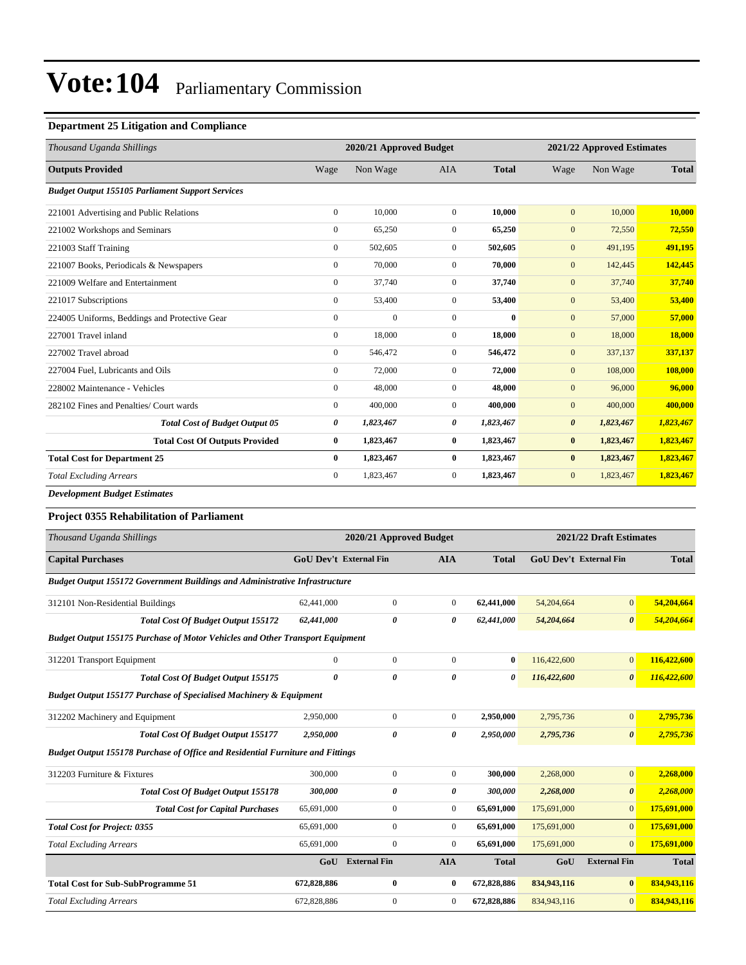### **Department 25 Litigation and Compliance**

| Thousand Uganda Shillings                               |                  | 2020/21 Approved Budget |                  |              | 2021/22 Approved Estimates |           |               |
|---------------------------------------------------------|------------------|-------------------------|------------------|--------------|----------------------------|-----------|---------------|
| <b>Outputs Provided</b>                                 | Wage             | Non Wage                | <b>AIA</b>       | <b>Total</b> | Wage                       | Non Wage  | <b>Total</b>  |
| <b>Budget Output 155105 Parliament Support Services</b> |                  |                         |                  |              |                            |           |               |
| 221001 Advertising and Public Relations                 | $\mathbf{0}$     | 10,000                  | $\overline{0}$   | 10,000       | $\mathbf{0}$               | 10,000    | 10,000        |
| 221002 Workshops and Seminars                           | $\boldsymbol{0}$ | 65,250                  | 0                | 65,250       | $\mathbf{0}$               | 72,550    | 72,550        |
| 221003 Staff Training                                   | $\mathbf{0}$     | 502,605                 | $\overline{0}$   | 502,605      | $\mathbf{0}$               | 491,195   | 491,195       |
| 221007 Books, Periodicals & Newspapers                  | $\mathbf{0}$     | 70,000                  | $\Omega$         | 70,000       | $\mathbf{0}$               | 142,445   | 142,445       |
| 221009 Welfare and Entertainment                        | $\boldsymbol{0}$ | 37,740                  | $\overline{0}$   | 37,740       | $\mathbf{0}$               | 37,740    | 37,740        |
| 221017 Subscriptions                                    | $\overline{0}$   | 53,400                  | $\overline{0}$   | 53,400       | $\mathbf{0}$               | 53,400    | 53,400        |
| 224005 Uniforms, Beddings and Protective Gear           | $\boldsymbol{0}$ | $\mathbf{0}$            | $\boldsymbol{0}$ | $\bf{0}$     | $\mathbf{0}$               | 57,000    | 57,000        |
| 227001 Travel inland                                    | $\mathbf{0}$     | 18,000                  | $\overline{0}$   | 18,000       | $\mathbf{0}$               | 18,000    | <b>18,000</b> |
| 227002 Travel abroad                                    | $\mathbf{0}$     | 546,472                 | $\overline{0}$   | 546,472      | $\mathbf{0}$               | 337,137   | 337,137       |
| 227004 Fuel, Lubricants and Oils                        | $\overline{0}$   | 72,000                  | $\overline{0}$   | 72,000       | $\mathbf{0}$               | 108,000   | 108,000       |
| 228002 Maintenance - Vehicles                           | $\mathbf{0}$     | 48,000                  | $\overline{0}$   | 48,000       | $\mathbf{0}$               | 96,000    | 96,000        |
| 282102 Fines and Penalties/ Court wards                 | $\boldsymbol{0}$ | 400,000                 | $\mathbf{0}$     | 400,000      | $\mathbf{0}$               | 400,000   | 400,000       |
| <b>Total Cost of Budget Output 05</b>                   | 0                | 1,823,467               | 0                | 1,823,467    | $\boldsymbol{\theta}$      | 1,823,467 | 1,823,467     |
| <b>Total Cost Of Outputs Provided</b>                   | $\bf{0}$         | 1,823,467               | $\bf{0}$         | 1,823,467    | $\bf{0}$                   | 1,823,467 | 1,823,467     |
| <b>Total Cost for Department 25</b>                     | $\bf{0}$         | 1,823,467               | $\bf{0}$         | 1,823,467    | $\bf{0}$                   | 1,823,467 | 1,823,467     |
| <b>Total Excluding Arrears</b>                          | $\overline{0}$   | 1,823,467               | $\mathbf{0}$     | 1,823,467    | $\mathbf{0}$               | 1,823,467 | 1,823,467     |
| <b>Development Budget Estimates</b>                     |                  |                         |                  |              |                            |           |               |

### **Project 0355 Rehabilitation of Parliament**

| Thousand Uganda Shillings                                                             | 2020/21 Approved Budget       |                     |                | 2021/22 Draft Estimates |             |                               |              |
|---------------------------------------------------------------------------------------|-------------------------------|---------------------|----------------|-------------------------|-------------|-------------------------------|--------------|
| <b>Capital Purchases</b>                                                              | <b>GoU Dev't External Fin</b> |                     | <b>AIA</b>     | <b>Total</b>            |             | <b>GoU Dev't External Fin</b> | <b>Total</b> |
| <b>Budget Output 155172 Government Buildings and Administrative Infrastructure</b>    |                               |                     |                |                         |             |                               |              |
| 312101 Non-Residential Buildings                                                      | 62,441,000                    | $\boldsymbol{0}$    | $\theta$       | 62,441,000              | 54,204,664  | $\overline{0}$                | 54,204,664   |
| Total Cost Of Budget Output 155172                                                    | 62,441,000                    | 0                   | 0              | 62,441,000              | 54,204,664  | $\boldsymbol{\theta}$         | 54,204,664   |
| <b>Budget Output 155175 Purchase of Motor Vehicles and Other Transport Equipment</b>  |                               |                     |                |                         |             |                               |              |
| 312201 Transport Equipment                                                            | $\overline{0}$                | $\overline{0}$      | $\mathbf{0}$   | $\bf{0}$                | 116,422,600 | $\overline{0}$                | 116,422,600  |
| <b>Total Cost Of Budget Output 155175</b>                                             | 0                             | 0                   | 0              | 0                       | 116,422,600 | $\boldsymbol{\theta}$         | 116,422,600  |
| <b>Budget Output 155177 Purchase of Specialised Machinery &amp; Equipment</b>         |                               |                     |                |                         |             |                               |              |
| 312202 Machinery and Equipment                                                        | 2,950,000                     | $\overline{0}$      | $\Omega$       | 2,950,000               | 2,795,736   | $\mathbf{0}$                  | 2,795,736    |
| <b>Total Cost Of Budget Output 155177</b>                                             | 2,950,000                     | 0                   | 0              | 2,950,000               | 2,795,736   | $\boldsymbol{\theta}$         | 2,795,736    |
| <b>Budget Output 155178 Purchase of Office and Residential Furniture and Fittings</b> |                               |                     |                |                         |             |                               |              |
| 312203 Furniture & Fixtures                                                           | 300,000                       | $\overline{0}$      | $\overline{0}$ | 300,000                 | 2,268,000   | $\mathbf{0}$                  | 2,268,000    |
| <b>Total Cost Of Budget Output 155178</b>                                             | 300,000                       | 0                   | 0              | 300,000                 | 2,268,000   | $\boldsymbol{\theta}$         | 2,268,000    |
| <b>Total Cost for Capital Purchases</b>                                               | 65,691,000                    | $\boldsymbol{0}$    | $\overline{0}$ | 65,691,000              | 175,691,000 | $\overline{0}$                | 175,691,000  |
| <b>Total Cost for Project: 0355</b>                                                   | 65,691,000                    | $\overline{0}$      | $\overline{0}$ | 65,691,000              | 175,691,000 | $\overline{0}$                | 175,691,000  |
| <b>Total Excluding Arrears</b>                                                        | 65,691,000                    | $\mathbf{0}$        | $\overline{0}$ | 65,691,000              | 175,691,000 | $\Omega$                      | 175,691,000  |
|                                                                                       | GoU                           | <b>External Fin</b> | <b>AIA</b>     | <b>Total</b>            | GoU         | <b>External Fin</b>           | <b>Total</b> |
| <b>Total Cost for Sub-SubProgramme 51</b>                                             | 672,828,886                   | 0                   | $\bf{0}$       | 672,828,886             | 834,943,116 | $\bf{0}$                      | 834,943,116  |
| <b>Total Excluding Arrears</b>                                                        | 672,828,886                   | $\mathbf{0}$        | $\overline{0}$ | 672,828,886             | 834,943,116 | $\Omega$                      | 834,943,116  |